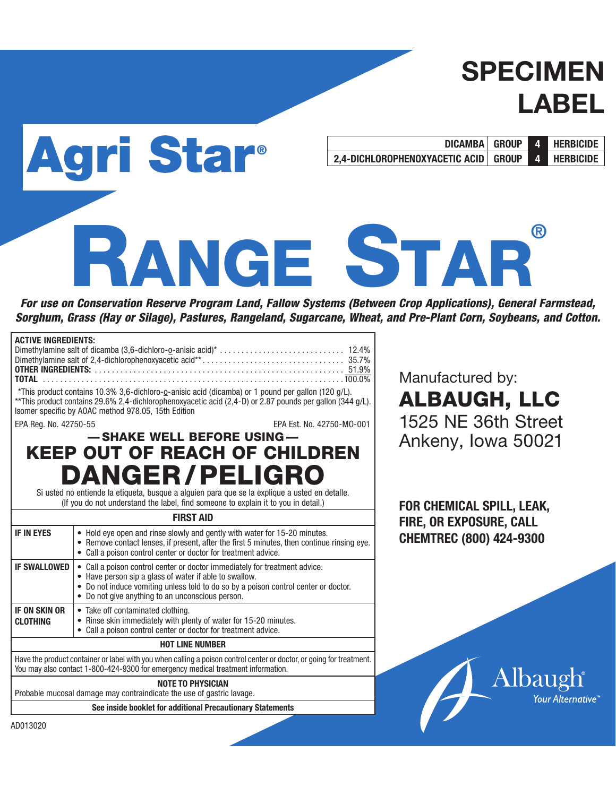# SPECIMEN LABEL

**DICAMBA GROUP 4 HERBICIDE 2,4-DICHLOROPHENOXYACETIC ACID GROUP 4 HERBICIDE**

# RANGE STAR **®**

*For use on Conservation Reserve Program Land, Fallow Systems (Between Crop Applications), General Farmstead, Sorghum, Grass (Hay or Silage), Pastures, Rangeland, Sugarcane, Wheat, and Pre-Plant Corn, Soybeans, and Cotton.*

| <b>ACTIVE INGREDIENTS:</b>                                                                                                                                                                               |                                                                                                                                                                                                                                                                        |  |  |  |  |  |
|----------------------------------------------------------------------------------------------------------------------------------------------------------------------------------------------------------|------------------------------------------------------------------------------------------------------------------------------------------------------------------------------------------------------------------------------------------------------------------------|--|--|--|--|--|
| <b>TOTAL</b>                                                                                                                                                                                             |                                                                                                                                                                                                                                                                        |  |  |  |  |  |
|                                                                                                                                                                                                          | *This product contains 10.3% 3,6-dichloro-o-anisic acid (dicamba) or 1 pound per gallon (120 g/L).<br>**This product contains 29.6% 2,4-dichlorophenoxyacetic acid (2,4-D) or 2.87 pounds per gallon (344 g/L).<br>Isomer specific by AOAC method 978.05, 15th Edition |  |  |  |  |  |
| EPA Reg. No. 42750-55                                                                                                                                                                                    | EPA Est. No. 42750-MO-001                                                                                                                                                                                                                                              |  |  |  |  |  |
|                                                                                                                                                                                                          | -SHAKE WELL BEFORE USING-                                                                                                                                                                                                                                              |  |  |  |  |  |
|                                                                                                                                                                                                          | <b>KEEP OUT OF REACH OF CHILDREN</b>                                                                                                                                                                                                                                   |  |  |  |  |  |
|                                                                                                                                                                                                          | <b>DANGER/PELIGRO</b>                                                                                                                                                                                                                                                  |  |  |  |  |  |
|                                                                                                                                                                                                          | Si usted no entiende la etiqueta, busque a alguien para que se la explique a usted en detalle.<br>(If you do not understand the label, find someone to explain it to you in detail.)                                                                                   |  |  |  |  |  |
|                                                                                                                                                                                                          | <b>FIRST AID</b>                                                                                                                                                                                                                                                       |  |  |  |  |  |
|                                                                                                                                                                                                          |                                                                                                                                                                                                                                                                        |  |  |  |  |  |
| <b>IF IN EYES</b>                                                                                                                                                                                        | • Hold eye open and rinse slowly and gently with water for 15-20 minutes.<br>• Remove contact lenses, if present, after the first 5 minutes, then continue rinsing eye.<br>• Call a poison control center or doctor for treatment advice.                              |  |  |  |  |  |
| <b>IF SWALLOWED</b>                                                                                                                                                                                      | • Call a poison control center or doctor immediately for treatment advice.                                                                                                                                                                                             |  |  |  |  |  |
| • Have person sip a glass of water if able to swallow.<br>• Do not induce vomiting unless told to do so by a poison control center or doctor.<br>• Do not give anything to an unconscious person.        |                                                                                                                                                                                                                                                                        |  |  |  |  |  |
| <b>IF ON SKIN OR</b><br>• Take off contaminated clothing.                                                                                                                                                |                                                                                                                                                                                                                                                                        |  |  |  |  |  |
| • Rinse skin immediately with plenty of water for 15-20 minutes.<br><b>CLOTHING</b><br>Call a poison control center or doctor for treatment advice.                                                      |                                                                                                                                                                                                                                                                        |  |  |  |  |  |
| <b>HOT LINE NUMBER</b>                                                                                                                                                                                   |                                                                                                                                                                                                                                                                        |  |  |  |  |  |
| Have the product container or label with you when calling a poison control center or doctor, or going for treatment.<br>You may also contact 1-800-424-9300 for emergency medical treatment information. |                                                                                                                                                                                                                                                                        |  |  |  |  |  |

Agri Star®

**NOTE TO PHYSICIAN**

Probable mucosal damage may contraindicate the use of gastric lavage.

**See inside booklet for additional Precautionary Statements**

Manufactured by: ALBAUGH, LLC 1525 NE 36th Street Ankeny, Iowa 50021

**FOR CHEMICAL SPILL, LEAK, FIRE, OR EXPOSURE, CALL CHEMTREC (800) 424-9300**



AD013020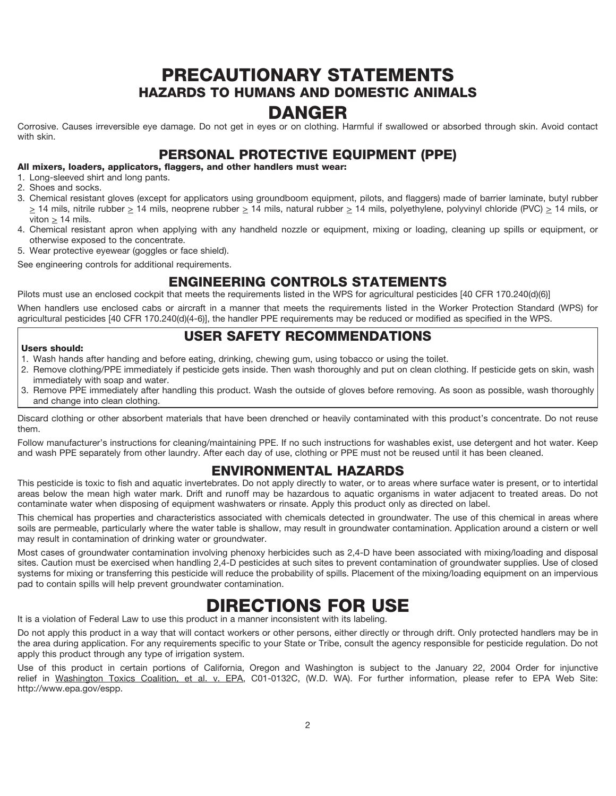# PRECAUTIONARY STATEMENTS HAZARDS TO HUMANS AND DOMESTIC ANIMALS

# DANGER

Corrosive. Causes irreversible eye damage. Do not get in eyes or on clothing. Harmful if swallowed or absorbed through skin. Avoid contact with skin.

### PERSONAL PROTECTIVE EQUIPMENT (PPE)

#### All mixers, loaders, applicators, flaggers, and other handlers must wear:

- 1. Long-sleeved shirt and long pants.
- 2. Shoes and socks.
- 3. Chemical resistant gloves (except for applicators using groundboom equipment, pilots, and flaggers) made of barrier laminate, butyl rubber  $\geq$  14 mils, nitrile rubber  $\geq$  14 mils, neoprene rubber  $\geq$  14 mils, natural rubber  $\geq$  14 mils, polyethylene, polyvinyl chloride (PVC)  $\geq$  14 mils, or viton  $> 14$  mils.
- 4. Chemical resistant apron when applying with any handheld nozzle or equipment, mixing or loading, cleaning up spills or equipment, or otherwise exposed to the concentrate.
- 5. Wear protective eyewear (goggles or face shield).

See engineering controls for additional requirements.

# ENGINEERING CONTROLS STATEMENTS

Pilots must use an enclosed cockpit that meets the requirements listed in the WPS for agricultural pesticides [40 CFR 170.240(d)(6)] When handlers use enclosed cabs or aircraft in a manner that meets the requirements listed in the Worker Protection Standard (WPS) for

### agricultural pesticides [40 CFR 170.240(d)(4-6)], the handler PPE requirements may be reduced or modified as specified in the WPS. USER SAFETY RECOMMENDATIONS

#### Users should:

- 1. Wash hands after handing and before eating, drinking, chewing gum, using tobacco or using the toilet.
- 2. Remove clothing/PPE immediately if pesticide gets inside. Then wash thoroughly and put on clean clothing. If pesticide gets on skin, wash immediately with soap and water.
- 3. Remove PPE immediately after handling this product. Wash the outside of gloves before removing. As soon as possible, wash thoroughly and change into clean clothing.

Discard clothing or other absorbent materials that have been drenched or heavily contaminated with this product's concentrate. Do not reuse them.

Follow manufacturer's instructions for cleaning/maintaining PPE. If no such instructions for washables exist, use detergent and hot water. Keep and wash PPE separately from other laundry. After each day of use, clothing or PPE must not be reused until it has been cleaned.

# ENVIRONMENTAL HAZARDS

This pesticide is toxic to fish and aquatic invertebrates. Do not apply directly to water, or to areas where surface water is present, or to intertidal areas below the mean high water mark. Drift and runoff may be hazardous to aquatic organisms in water adjacent to treated areas. Do not contaminate water when disposing of equipment washwaters or rinsate. Apply this product only as directed on label.

This chemical has properties and characteristics associated with chemicals detected in groundwater. The use of this chemical in areas where soils are permeable, particularly where the water table is shallow, may result in groundwater contamination. Application around a cistern or well may result in contamination of drinking water or groundwater.

Most cases of groundwater contamination involving phenoxy herbicides such as 2,4-D have been associated with mixing/loading and disposal sites. Caution must be exercised when handling 2,4-D pesticides at such sites to prevent contamination of groundwater supplies. Use of closed systems for mixing or transferring this pesticide will reduce the probability of spills. Placement of the mixing/loading equipment on an impervious pad to contain spills will help prevent groundwater contamination.

# DIRECTIONS FOR USE

It is a violation of Federal Law to use this product in a manner inconsistent with its labeling.

Do not apply this product in a way that will contact workers or other persons, either directly or through drift. Only protected handlers may be in the area during application. For any requirements specific to your State or Tribe, consult the agency responsible for pesticide regulation. Do not apply this product through any type of irrigation system.

Use of this product in certain portions of California, Oregon and Washington is subject to the January 22, 2004 Order for injunctive relief in Washington Toxics Coalition, et al. v. EPA, C01-0132C, (W.D. WA). For further information, please refer to EPA Web Site: http://www.epa.gov/espp.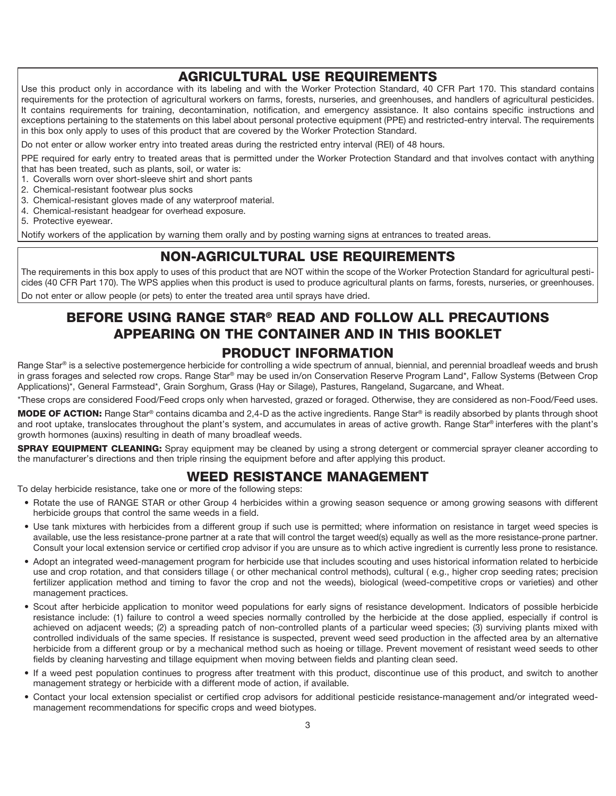## AGRICULTURAL USE REQUIREMENTS

Use this product only in accordance with its labeling and with the Worker Protection Standard, 40 CFR Part 170. This standard contains requirements for the protection of agricultural workers on farms, forests, nurseries, and greenhouses, and handlers of agricultural pesticides. It contains requirements for training, decontamination, notification, and emergency assistance. It also contains specific instructions and exceptions pertaining to the statements on this label about personal protective equipment (PPE) and restricted-entry interval. The requirements in this box only apply to uses of this product that are covered by the Worker Protection Standard.

Do not enter or allow worker entry into treated areas during the restricted entry interval (REI) of 48 hours.

PPE required for early entry to treated areas that is permitted under the Worker Protection Standard and that involves contact with anything that has been treated, such as plants, soil, or water is:

- 1. Coveralls worn over short-sleeve shirt and short pants
- 2. Chemical-resistant footwear plus socks
- 3. Chemical-resistant gloves made of any waterproof material.
- 4. Chemical-resistant headgear for overhead exposure.
- 5. Protective eyewear.

Notify workers of the application by warning them orally and by posting warning signs at entrances to treated areas.

### NON-AGRICULTURAL USE REQUIREMENTS

The requirements in this box apply to uses of this product that are NOT within the scope of the Worker Protection Standard for agricultural pesticides (40 CFR Part 170). The WPS applies when this product is used to produce agricultural plants on farms, forests, nurseries, or greenhouses. Do not enter or allow people (or pets) to enter the treated area until sprays have dried.

# BEFORE USING RANGE STAR® READ AND FOLLOW ALL PRECAUTIONS APPEARING ON THE CONTAINER AND IN THIS BOOKLET PRODUCT INFORMATION

Range Star® is a selective postemergence herbicide for controlling a wide spectrum of annual, biennial, and perennial broadleaf weeds and brush in grass forages and selected row crops. Range Star® may be used in/on Conservation Reserve Program Land\*, Fallow Systems (Between Crop Applications)\*, General Farmstead\*, Grain Sorghum, Grass (Hay or Silage), Pastures, Rangeland, Sugarcane, and Wheat.

\*These crops are considered Food/Feed crops only when harvested, grazed or foraged. Otherwise, they are considered as non-Food/Feed uses.

MODE OF ACTION: Range Star<sup>®</sup> contains dicamba and 2,4-D as the active ingredients. Range Star<sup>®</sup> is readily absorbed by plants through shoot and root uptake, translocates throughout the plant's system, and accumulates in areas of active growth. Range Star® interferes with the plant's growth hormones (auxins) resulting in death of many broadleaf weeds.

**SPRAY EQUIPMENT CLEANING:** Spray equipment may be cleaned by using a strong detergent or commercial sprayer cleaner according to the manufacturer's directions and then triple rinsing the equipment before and after applying this product.

# WEED RESISTANCE MANAGEMENT

To delay herbicide resistance, take one or more of the following steps:

- Rotate the use of RANGE STAR or other Group 4 herbicides within a growing season sequence or among growing seasons with different herbicide groups that control the same weeds in a field.
- Use tank mixtures with herbicides from a different group if such use is permitted; where information on resistance in target weed species is available, use the less resistance-prone partner at a rate that will control the target weed(s) equally as well as the more resistance-prone partner. Consult your local extension service or certified crop advisor if you are unsure as to which active ingredient is currently less prone to resistance.
- Adopt an integrated weed-management program for herbicide use that includes scouting and uses historical information related to herbicide use and crop rotation, and that considers tillage ( or other mechanical control methods), cultural ( e.g., higher crop seeding rates; precision fertilizer application method and timing to favor the crop and not the weeds), biological (weed-competitive crops or varieties) and other management practices.
- Scout after herbicide application to monitor weed populations for early signs of resistance development. Indicators of possible herbicide resistance include: (1) failure to control a weed species normally controlled by the herbicide at the dose applied, especially if control is achieved on adjacent weeds; (2) a spreading patch of non-controlled plants of a particular weed species; (3) surviving plants mixed with controlled individuals of the same species. If resistance is suspected, prevent weed seed production in the affected area by an alternative herbicide from a different group or by a mechanical method such as hoeing or tillage. Prevent movement of resistant weed seeds to other fields by cleaning harvesting and tillage equipment when moving between fields and planting clean seed.
- If a weed pest population continues to progress after treatment with this product, discontinue use of this product, and switch to another management strategy or herbicide with a different mode of action, if available.
- Contact your local extension specialist or certified crop advisors for additional pesticide resistance-management and/or integrated weedmanagement recommendations for specific crops and weed biotypes.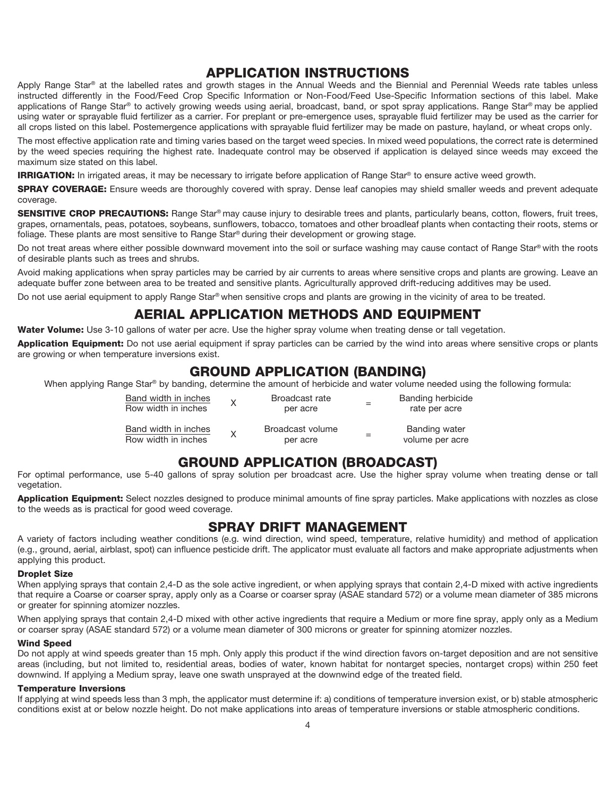### APPLICATION INSTRUCTIONS

Apply Range Star® at the labelled rates and growth stages in the Annual Weeds and the Biennial and Perennial Weeds rate tables unless instructed differently in the Food/Feed Crop Specific Information or Non-Food/Feed Use-Specific Information sections of this label. Make applications of Range Star® to actively growing weeds using aerial, broadcast, band, or spot spray applications. Range Star® may be applied using water or sprayable fluid fertilizer as a carrier. For preplant or pre-emergence uses, sprayable fluid fertilizer may be used as the carrier for all crops listed on this label. Postemergence applications with sprayable fluid fertilizer may be made on pasture, hayland, or wheat crops only.

The most effective application rate and timing varies based on the target weed species. In mixed weed populations, the correct rate is determined by the weed species requiring the highest rate. Inadequate control may be observed if application is delayed since weeds may exceed the maximum size stated on this label.

IRRIGATION: In irrigated areas, it may be necessary to irrigate before application of Range Star® to ensure active weed growth.

**SPRAY COVERAGE:** Ensure weeds are thoroughly covered with spray. Dense leaf canopies may shield smaller weeds and prevent adequate coverage.

**SENSITIVE CROP PRECAUTIONS:** Range Star® may cause injury to desirable trees and plants, particularly beans, cotton, flowers, fruit trees, grapes, ornamentals, peas, potatoes, soybeans, sunflowers, tobacco, tomatoes and other broadleaf plants when contacting their roots, stems or foliage. These plants are most sensitive to Range Star® during their development or growing stage.

Do not treat areas where either possible downward movement into the soil or surface washing may cause contact of Range Star® with the roots of desirable plants such as trees and shrubs.

Avoid making applications when spray particles may be carried by air currents to areas where sensitive crops and plants are growing. Leave an adequate buffer zone between area to be treated and sensitive plants. Agriculturally approved drift-reducing additives may be used.

Do not use aerial equipment to apply Range Star® when sensitive crops and plants are growing in the vicinity of area to be treated.

# AERIAL APPLICATION METHODS AND EQUIPMENT

Water Volume: Use 3-10 gallons of water per acre. Use the higher spray volume when treating dense or tall vegetation.

Application Equipment: Do not use aerial equipment if spray particles can be carried by the wind into areas where sensitive crops or plants are growing or when temperature inversions exist.

## GROUND APPLICATION (BANDING)

When applying Range Star® by banding, determine the amount of herbicide and water volume needed using the following formula:

| Band width in inches<br>Row width in inches | $\mathsf{x}$ | Broadcast rate<br>per acre   | Banding herbicide<br>rate per acre |
|---------------------------------------------|--------------|------------------------------|------------------------------------|
| Band width in inches<br>Row width in inches |              | Broadcast volume<br>per acre | Banding water<br>volume per acre   |

### GROUND APPLICATION (BROADCAST)

For optimal performance, use 5-40 gallons of spray solution per broadcast acre. Use the higher spray volume when treating dense or tall vegetation.

Application Equipment: Select nozzles designed to produce minimal amounts of fine spray particles. Make applications with nozzles as close to the weeds as is practical for good weed coverage.

### SPRAY DRIFT MANAGEMENT

A variety of factors including weather conditions (e.g. wind direction, wind speed, temperature, relative humidity) and method of application (e.g., ground, aerial, airblast, spot) can influence pesticide drift. The applicator must evaluate all factors and make appropriate adjustments when applying this product.

#### Droplet Size

When applying sprays that contain 2,4-D as the sole active ingredient, or when applying sprays that contain 2,4-D mixed with active ingredients that require a Coarse or coarser spray, apply only as a Coarse or coarser spray (ASAE standard 572) or a volume mean diameter of 385 microns or greater for spinning atomizer nozzles.

When applying sprays that contain 2,4-D mixed with other active ingredients that require a Medium or more fine spray, apply only as a Medium or coarser spray (ASAE standard 572) or a volume mean diameter of 300 microns or greater for spinning atomizer nozzles.

#### Wind Speed

Do not apply at wind speeds greater than 15 mph. Only apply this product if the wind direction favors on-target deposition and are not sensitive areas (including, but not limited to, residential areas, bodies of water, known habitat for nontarget species, nontarget crops) within 250 feet downwind. If applying a Medium spray, leave one swath unsprayed at the downwind edge of the treated field.

#### Temperature Inversions

If applying at wind speeds less than 3 mph, the applicator must determine if: a) conditions of temperature inversion exist, or b) stable atmospheric conditions exist at or below nozzle height. Do not make applications into areas of temperature inversions or stable atmospheric conditions.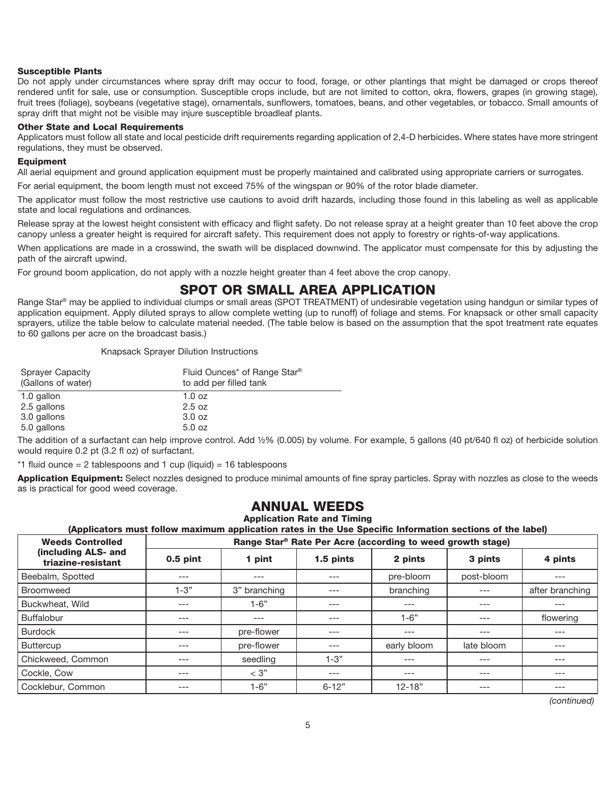#### Susceptible Plants

Do not apply under circumstances where spray drift may occur to food, forage, or other plantings that might be damaged or crops thereof rendered unfit for sale, use or consumption. Susceptible crops include, but are not limited to cotton, okra, flowers, grapes (in growing stage), fruit trees (foliage), soybeans (vegetative stage), ornamentals, sunflowers, tomatoes, beans, and other vegetables, or tobacco. Small amounts of spray drift that might not be visible may injure susceptible broadleaf plants.

#### Other State and Local Requirements

Applicators must follow all state and local pesticide drift requirements regarding application of 2,4-D herbicides. Where states have more stringent regulations, they must be observed.

#### Equipment

All aerial equipment and ground application equipment must be properly maintained and calibrated using appropriate carriers or surrogates.

For aerial equipment, the boom length must not exceed 75% of the wingspan or 90% of the rotor blade diameter.

The applicator must follow the most restrictive use cautions to avoid drift hazards, including those found in this labeling as well as applicable state and local regulations and ordinances.

Release spray at the lowest height consistent with efficacy and flight safety. Do not release spray at a height greater than 10 feet above the crop canopy unless a greater height is required for aircraft safety. This requirement does not apply to forestry or rights-of-way applications.

When applications are made in a crosswind, the swath will be displaced downwind. The applicator must compensate for this by adjusting the path of the aircraft upwind.

For ground boom application, do not apply with a nozzle height greater than 4 feet above the crop canopy.

### SPOT OR SMALL AREA APPLICATION

Range Star® may be applied to individual clumps or small areas (SPOT TREATMENT) of undesirable vegetation using handgun or similar types of application equipment. Apply diluted sprays to allow complete wetting (up to runoff) of foliage and stems. For knapsack or other small capacity sprayers, utilize the table below to calculate material needed. (The table below is based on the assumption that the spot treatment rate equates to 60 gallons per acre on the broadcast basis.)

Knapsack Sprayer Dilution Instructions

| Sprayer Capacity<br>(Gallons of water) | Fluid Ounces* of Range Star®<br>to add per filled tank |
|----------------------------------------|--------------------------------------------------------|
| 1.0 gallon                             | $1.0 \text{ oz}$                                       |
| 2.5 gallons                            | 2.5 oz                                                 |
| 3.0 gallons                            | 3.0 oz                                                 |
| 5.0 gallons                            | 5.0 oz                                                 |

The addition of a surfactant can help improve control. Add ½% (0.005) by volume. For example, 5 gallons (40 pt/640 fl oz) of herbicide solution would require 0.2 pt (3.2 fl oz) of surfactant.

 $*1$  fluid ounce = 2 tablespoons and 1 cup (liquid) = 16 tablespoons

Application Equipment: Select nozzles designed to produce minimal amounts of fine spray particles. Spray with nozzles as close to the weeds as is practical for good weed coverage.

### ANNUAL WEEDS

Application Rate and Timing

(Applicators must follow maximum application rates in the Use Specific Information sections of the label)

| <b>Weeds Controlled</b> | Range Star® Rate Per Acre (according to weed growth stage) |
|-------------------------|------------------------------------------------------------|
|                         |                                                            |

| wccas ovini viica                         | $100190$ via $10001$ via $1000$ (avverting to froculy view $1000$ |              |           |             |            |                 |
|-------------------------------------------|-------------------------------------------------------------------|--------------|-----------|-------------|------------|-----------------|
| (including ALS- and<br>triazine-resistant | $0.5$ pint                                                        | 1 pint       | 1.5 pints | 2 pints     | 3 pints    | 4 pints         |
| Beebalm, Spotted                          | ---                                                               | $---$        | $---$     | pre-bloom   | post-bloom | ---             |
| <b>Broomweed</b>                          | $1 - 3"$                                                          | 3" branching | $---$     | branching   | ---        | after branching |
| Buckwheat, Wild                           | ---                                                               | $1-6"$       | $---$     | $---$       | $---$      | ---             |
| <b>Buffalobur</b>                         | ---                                                               | $---$        | $---$     | $1 - 6"$    | ---        | flowering       |
| <b>Burdock</b>                            | ---                                                               | pre-flower   | $---$     | $---$       | ---        | ---             |
| <b>Buttercup</b>                          | ---                                                               | pre-flower   | $---$     | early bloom | late bloom | ---             |
| Chickweed, Common                         | ---                                                               | seedling     | 1-3"      | $---$       | ---        | ---             |
| Cockle, Cow                               | ---                                                               | $<$ 3"       | $---$     | $---$       | ---        | ---             |
| Cocklebur, Common                         | ---                                                               | $1-6"$       | $6 - 12"$ | $12 - 18"$  | ---        | ---             |

*(continued)*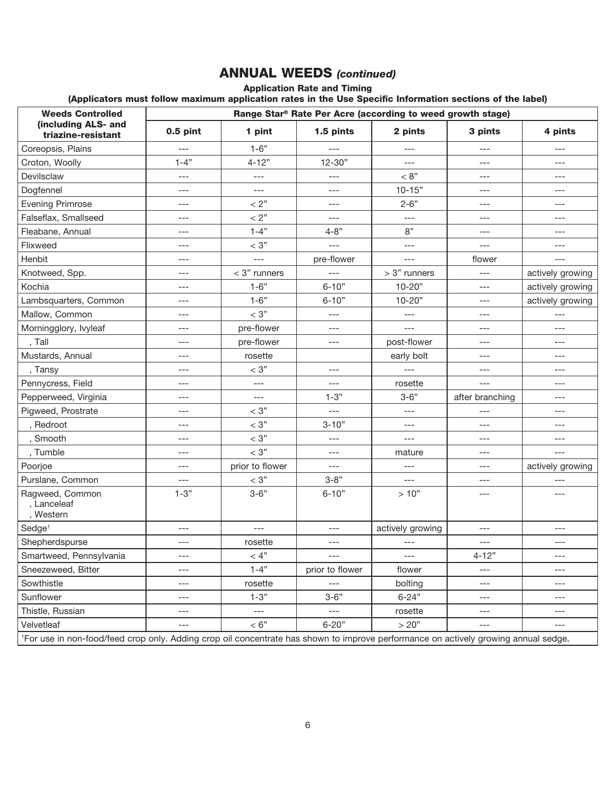# ANNUAL WEEDS *(continued)*

Application Rate and Timing

(Applicators must follow maximum application rates in the Use Specific Information sections of the label)

| <b>Weeds Controlled</b>                     | Range Star® Rate Per Acre (according to weed growth stage)                                                                                      |                      |                 |                  |                 |                  |
|---------------------------------------------|-------------------------------------------------------------------------------------------------------------------------------------------------|----------------------|-----------------|------------------|-----------------|------------------|
| (including ALS- and<br>triazine-resistant   | $0.5$ pint                                                                                                                                      | 1 pint               | 1.5 pints       | 2 pints          | 3 pints         | 4 pints          |
| Coreopsis, Plains                           | $---$                                                                                                                                           | $1 - 6"$             | $---$           | ---              | ---             | ---              |
| Croton, Woolly                              | $1 - 4$ "                                                                                                                                       | $4 - 12"$            | $12 - 30"$      | $---$            | ---             | ---              |
| Devilsclaw                                  | $---$                                                                                                                                           | $---$                | $---$           | < 8"             | ---             | ---              |
| Dogfennel                                   | $---$                                                                                                                                           | $\cdots$             | $---$           | $10 - 15"$       | ---             | ---              |
| <b>Evening Primrose</b>                     | ---                                                                                                                                             | < 2"                 | $---$           | $2 - 6"$         | $---$           | ---              |
| Falseflax, Smallseed                        | $---$                                                                                                                                           | $< 2"$               | $---$           | $---$            | $---$           | ---              |
| Fleabane, Annual                            | $---$                                                                                                                                           | $1 - 4"$             | $4 - 8"$        | 8"               | $---$           | ---              |
| Flixweed                                    | $---$                                                                                                                                           | $< 3"$               | $---$           | $---$            | $---$           | ---              |
| Henbit                                      | ---                                                                                                                                             | $---$                | pre-flower      | $---$            | flower          | ---              |
| Knotweed, Spp.                              | $---$                                                                                                                                           | $<$ 3" runners       | $---$           | $>$ 3" runners   | ---             | actively growing |
| Kochia                                      | $---$                                                                                                                                           | $1 - 6"$             | $6 - 10"$       | $10 - 20"$       | ---             | actively growing |
| Lambsquarters, Common                       | $---$                                                                                                                                           | $1 - 6"$             | $6 - 10"$       | $10 - 20"$       | $---$           | actively growing |
| Mallow, Common                              | $---$                                                                                                                                           | $< 3\ensuremath{''}$ | $---$           | $---$            | $---$           | ---              |
| Morningglory, Ivyleaf                       | ---                                                                                                                                             | pre-flower           | $\cdots$        | $---$            | ---             | ---              |
| , Tall                                      | $---$                                                                                                                                           | pre-flower           | $---$           | post-flower      | ---             | ---              |
| Mustards, Annual                            | ---                                                                                                                                             | rosette              |                 | early bolt       | ---             | ---              |
| , Tansy                                     | $---$                                                                                                                                           | $< 3\ensuremath{''}$ | $---$           | $---$            | $---$           | ---              |
| Pennycress, Field                           | $---$                                                                                                                                           | $---$                | $---$           | rosette          | ---             | ---              |
| Pepperweed, Virginia                        | $---$                                                                                                                                           | $---$                | $1 - 3"$        | $3 - 6"$         | after branching | ---              |
| Pigweed, Prostrate                          | $---$                                                                                                                                           | $< 3"$               | $---$           | $---$            | ---             | ---              |
| , Redroot                                   | $---$                                                                                                                                           | $< 3\ensuremath{''}$ | $3 - 10"$       | $---$            | ---             | $---$            |
| , Smooth                                    | $---$                                                                                                                                           | $< 3"$               | $---$           | $---$            | ---             | ---              |
| , Tumble                                    | $---$                                                                                                                                           | $< 3"$               | $---$           | mature           | ---             | $---$            |
| Poorjoe                                     | $---$                                                                                                                                           | prior to flower      | $---$           | $---$            | ---             | actively growing |
| Purslane, Common                            | $---$                                                                                                                                           | $< 3"$               | $3 - 8"$        | $---$            | ---             | $---$            |
| Ragweed, Common<br>, Lanceleaf<br>, Western | $1 - 3"$                                                                                                                                        | $3 - 6"$             | $6 - 10"$       | $>10"$           | $---$           | ---              |
| Sedge <sup>1</sup>                          | $---$                                                                                                                                           | $---$                | $---$           | actively growing | ---             | $---$            |
| Shepherdspurse                              | $---$                                                                                                                                           | rosette              | $\cdots$        | $---$            | ---             | ---              |
| Smartweed, Pennsylvania                     |                                                                                                                                                 | $<4"$                |                 |                  | $4 - 12"$       | ---              |
| Sneezeweed, Bitter                          | $---$                                                                                                                                           | $1 - 4"$             | prior to flower | flower           | ---             | ---              |
| Sowthistle                                  | ---                                                                                                                                             | rosette              |                 | bolting          | ---             | ---              |
| Sunflower                                   | $---$                                                                                                                                           | $1 - 3"$             | $3 - 6"$        | $6 - 24"$        | ---             | ---              |
| Thistle, Russian                            | ---                                                                                                                                             | $---$                | $---$           | rosette          | ---             | ---              |
| Velvetleaf                                  | $---$                                                                                                                                           | < 6"                 | $6 - 20"$       | > 20"            | $---$           | ---              |
|                                             | <sup>1</sup> For use in non-food/feed crop only. Adding crop oil concentrate has shown to improve performance on actively growing annual sedge. |                      |                 |                  |                 |                  |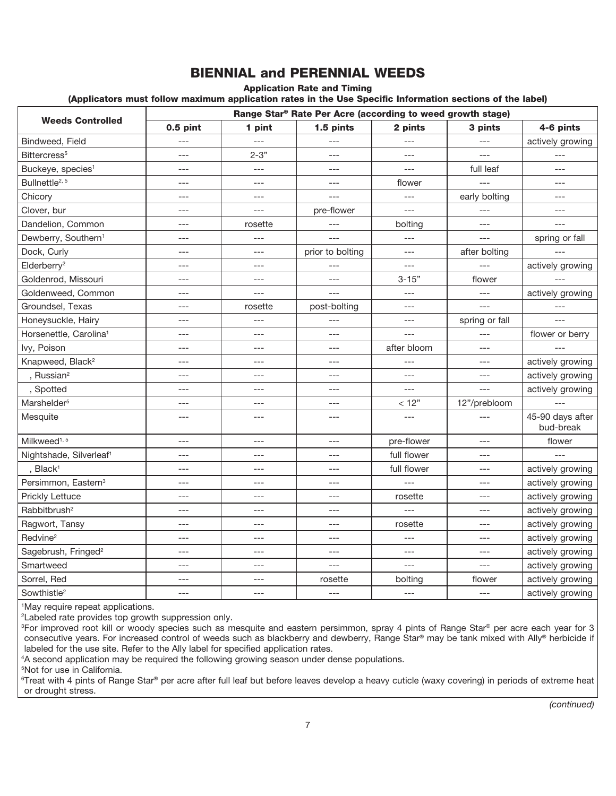# BIENNIAL and PERENNIAL WEEDS

Application Rate and Timing

(Applicators must follow maximum application rates in the Use Specific Information sections of the label)

|                                     |            |          | Range Star® Rate Per Acre (according to weed growth stage) |             |                |                               |
|-------------------------------------|------------|----------|------------------------------------------------------------|-------------|----------------|-------------------------------|
| <b>Weeds Controlled</b>             | $0.5$ pint | 1 pint   | 1.5 pints                                                  | 2 pints     | 3 pints        | 4-6 pints                     |
| Bindweed, Field                     | ---        | $---$    |                                                            | ---         | ---            | actively growing              |
| Bittercress <sup>5</sup>            | $---$      | $2 - 3"$ | $---$                                                      | $---$       | ---            | $---$                         |
| Buckeye, species <sup>1</sup>       | $---$      | $---$    | $---$                                                      | $---$       | full leaf      | $---$                         |
| Bullnettle <sup>2, 5</sup>          | ---        | ---      | $---$                                                      | flower      | $---$          |                               |
| Chicory                             | ---        | $---$    | $---$                                                      | ---         | early bolting  | ---                           |
| Clover, bur                         | $---$      | $---$    | pre-flower                                                 | $---$       | $---$          | $---$                         |
| Dandelion, Common                   | ---        | rosette  | ---                                                        | bolting     | ---            | $- - -$                       |
| Dewberry, Southern <sup>1</sup>     | $---$      | $---$    | ---                                                        | ---         | ---            | spring or fall                |
| Dock, Curly                         | $---$      | $---$    | prior to bolting                                           | $---$       | after bolting  |                               |
| Elderberry <sup>2</sup>             | ---        | $---$    | ---                                                        | ---         | $- - -$        | actively growing              |
| Goldenrod, Missouri                 | $---$      | $---$    | ---                                                        | $3 - 15"$   | flower         |                               |
| Goldenweed, Common                  | $---$      | $---$    | $---$                                                      | ---         | $---$          | actively growing              |
| Groundsel, Texas                    | $---$      | rosette  | post-bolting                                               | ---         | $---$          | $---$                         |
| Honeysuckle, Hairy                  | $---$      | ---      | $---$                                                      | ---         | spring or fall | $---$                         |
| Horsenettle, Carolina <sup>1</sup>  | ---        | $---$    | ---                                                        | $---$       | ---            | flower or berry               |
| Ivy, Poison                         | $---$      | $---$    | $---$                                                      | after bloom | ---            |                               |
| Knapweed, Black <sup>2</sup>        | $---$      | ---      | ---                                                        | ---         | ---            | actively growing              |
| , Russian <sup>2</sup>              | ---        | $---$    | ---                                                        | ---         | ---            | actively growing              |
| , Spotted                           | $---$      | $---$    | $---$                                                      | $---$       | $---$          | actively growing              |
| Marshelder <sup>5</sup>             | ---        | $---$    | $---$                                                      | $<12"$      | 12"/prebloom   | $---$                         |
| Mesquite                            | ---        | ---      | $---$                                                      | ---         |                | 45-90 days after<br>bud-break |
| Milkweed <sup>1, 5</sup>            | ---        | ---      | ---                                                        | pre-flower  | ---            | flower                        |
| Nightshade, Silverleaf <sup>1</sup> | ---        | $---$    | ---                                                        | full flower | ---            |                               |
| , Black <sup>1</sup>                | $---$      | $---$    | $---$                                                      | full flower | ---            | actively growing              |
| Persimmon, Eastern <sup>3</sup>     | $---$      | $---$    | $---$                                                      | $---$       | ---            | actively growing              |
| Prickly Lettuce                     | ---        | ---      | ---                                                        | rosette     | ---            | actively growing              |
| Rabbitbrush <sup>2</sup>            | $---$      | $---$    | $---$                                                      | ---         | $---$          | actively growing              |
| Ragwort, Tansy                      | $---$      | $---$    | $---$                                                      | rosette     | $---$          | actively growing              |
| Redvine <sup>2</sup>                | ---        | ---      | ---                                                        | ---         | ---            | actively growing              |
| Sagebrush, Fringed <sup>2</sup>     | $---$      | $---$    | ---                                                        | ---         | ---            | actively growing              |
| Smartweed                           | $---$      | $---$    | $---$                                                      | $---$       | $---$          | actively growing              |
| Sorrel, Red                         | ---        | ---      | rosette                                                    | bolting     | flower         | actively growing              |
| Sowthistle <sup>2</sup>             | $---$      | $---$    | $---$                                                      | $---$       | ---            | actively growing              |

1 May require repeat applications.

2 Labeled rate provides top growth suppression only.

<sup>3</sup>For improved root kill or woody species such as mesquite and eastern persimmon, spray 4 pints of Range Star® per acre each year for 3 consecutive years. For increased control of weeds such as blackberry and dewberry, Range Star® may be tank mixed with Ally® herbicide if labeled for the use site. Refer to the Ally label for specified application rates.

4 A second application may be required the following growing season under dense populations.

5 Not for use in California.

<sup>6</sup>Treat with 4 pints of Range Star® per acre after full leaf but before leaves develop a heavy cuticle (waxy covering) in periods of extreme heat or drought stress.

*(continued)*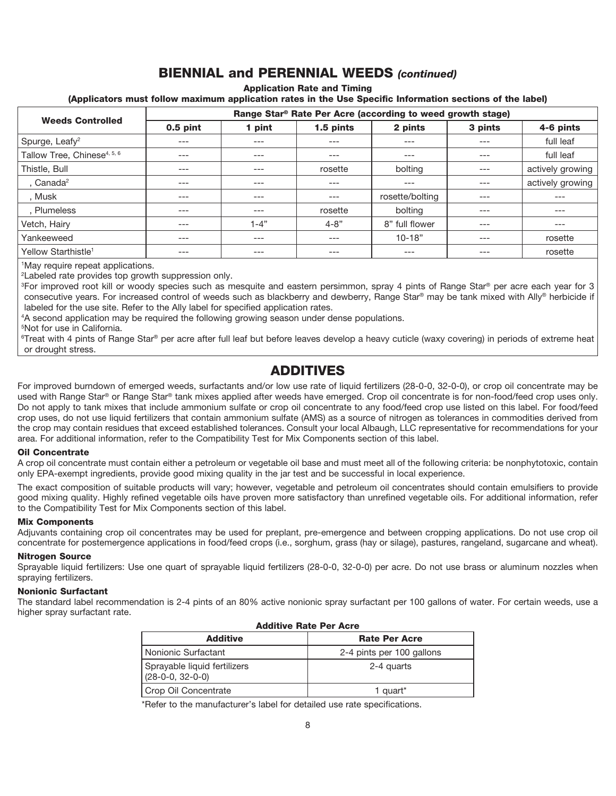# BIENNIAL and PERENNIAL WEEDS *(continued)*

Application Rate and Timing

(Applicators must follow maximum application rates in the Use Specific Information sections of the label)

| <b>Weeds Controlled</b>                 | Range Star® Rate Per Acre (according to weed growth stage) |        |           |                 |         |                  |
|-----------------------------------------|------------------------------------------------------------|--------|-----------|-----------------|---------|------------------|
|                                         | $0.5$ pint                                                 | 1 pint | 1.5 pints | 2 pints         | 3 pints | 4-6 pints        |
| Spurge, Leafy <sup>2</sup>              | ---                                                        | $---$  | ---       | ---             | ---     | full leaf        |
| Tallow Tree, Chinese <sup>4, 5, 6</sup> | $---$                                                      | $---$  | ---       | ---             | $---$   | full leaf        |
| Thistle, Bull                           | $---$                                                      | $---$  | rosette   | bolting         | $---$   | actively growing |
| . Canada $2$                            | $---$                                                      | $---$  | ---       | ---             | ---     | actively growing |
| . Musk                                  | $---$                                                      | $---$  | ---       | rosette/bolting | ---     | ---              |
| . Plumeless                             | $---$                                                      | $---$  | rosette   | bolting         | ---     | ---              |
| Vetch, Hairy                            | $---$                                                      | 1-4"   | $4 - 8"$  | 8" full flower  | $---$   | ---              |
| Yankeeweed                              | $---$                                                      | $---$  | $---$     | $10 - 18"$      | $---$   | rosette          |
| Yellow Starthistle <sup>1</sup>         | $---$                                                      | $---$  | ---       | ---             | ---     | rosette          |

1 May require repeat applications.

2 Labeled rate provides top growth suppression only.

<sup>3</sup>For improved root kill or woody species such as mesquite and eastern persimmon, spray 4 pints of Range Star® per acre each year for 3 consecutive years. For increased control of weeds such as blackberry and dewberry, Range Star® may be tank mixed with Ally® herbicide if labeled for the use site. Refer to the Ally label for specified application rates.

4 A second application may be required the following growing season under dense populations.

5 Not for use in California.

<sup>6</sup>Treat with 4 pints of Range Star® per acre after full leaf but before leaves develop a heavy cuticle (waxy covering) in periods of extreme heat or drought stress.

## ADDITIVES

For improved burndown of emerged weeds, surfactants and/or low use rate of liquid fertilizers (28-0-0, 32-0-0), or crop oil concentrate may be used with Range Star® or Range Star® tank mixes applied after weeds have emerged. Crop oil concentrate is for non-food/feed crop uses only. Do not apply to tank mixes that include ammonium sulfate or crop oil concentrate to any food/feed crop use listed on this label. For food/feed crop uses, do not use liquid fertilizers that contain ammonium sulfate (AMS) as a source of nitrogen as tolerances in commodities derived from the crop may contain residues that exceed established tolerances. Consult your local Albaugh, LLC representative for recommendations for your area. For additional information, refer to the Compatibility Test for Mix Components section of this label.

#### Oil Concentrate

A crop oil concentrate must contain either a petroleum or vegetable oil base and must meet all of the following criteria: be nonphytotoxic, contain only EPA-exempt ingredients, provide good mixing quality in the jar test and be successful in local experience.

The exact composition of suitable products will vary; however, vegetable and petroleum oil concentrates should contain emulsifiers to provide good mixing quality. Highly refined vegetable oils have proven more satisfactory than unrefined vegetable oils. For additional information, refer to the Compatibility Test for Mix Components section of this label.

#### Mix Components

Adjuvants containing crop oil concentrates may be used for preplant, pre-emergence and between cropping applications. Do not use crop oil concentrate for postemergence applications in food/feed crops (i.e., sorghum, grass (hay or silage), pastures, rangeland, sugarcane and wheat).

#### Nitrogen Source

Sprayable liquid fertilizers: Use one quart of sprayable liquid fertilizers (28-0-0, 32-0-0) per acre. Do not use brass or aluminum nozzles when spraying fertilizers.

#### Nonionic Surfactant

The standard label recommendation is 2-4 pints of an 80% active nonionic spray surfactant per 100 gallons of water. For certain weeds, use a higher spray surfactant rate.

| <b>Additive Rate Per Acre</b>                      |                           |  |  |
|----------------------------------------------------|---------------------------|--|--|
| <b>Additive</b>                                    | <b>Rate Per Acre</b>      |  |  |
| Nonionic Surfactant                                | 2-4 pints per 100 gallons |  |  |
| Sprayable liquid fertilizers<br>$(28-0-0, 32-0-0)$ | 2-4 quarts                |  |  |
| Crop Oil Concentrate                               | 1 quart*                  |  |  |

\*Refer to the manufacturer's label for detailed use rate specifications.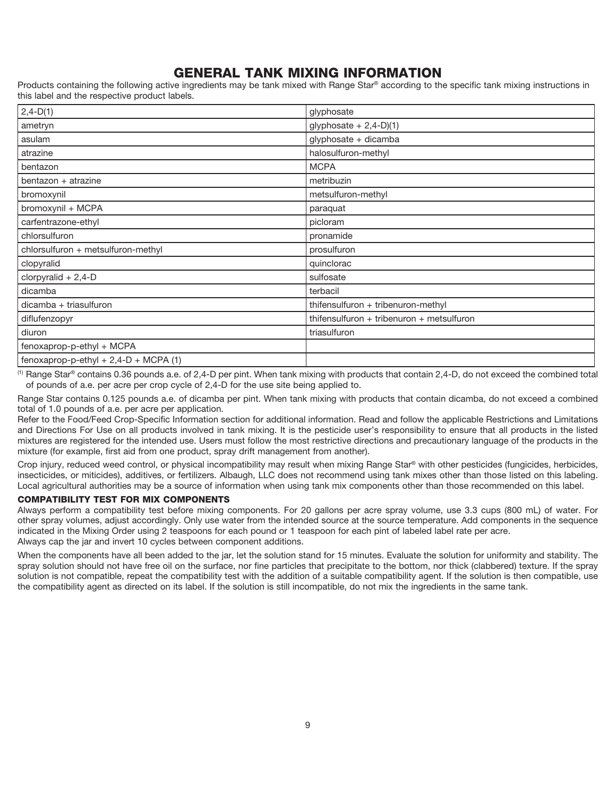# GENERAL TANK MIXING INFORMATION

Products containing the following active ingredients may be tank mixed with Range Star® according to the specific tank mixing instructions in this label and the respective product labels.

| $2,4-D(1)$                              | glyphosate                                |
|-----------------------------------------|-------------------------------------------|
| ametryn                                 | glyphosate $+ 2,4-D(1)$                   |
| asulam                                  | glyphosate + dicamba                      |
| atrazine                                | halosulfuron-methyl                       |
| bentazon                                | <b>MCPA</b>                               |
| bentazon + atrazine                     | metribuzin                                |
| bromoxynil                              | metsulfuron-methyl                        |
| bromoxynil + MCPA                       | paraquat                                  |
| carfentrazone-ethyl                     | picloram                                  |
| chlorsulfuron                           | pronamide                                 |
| chlorsulfuron + metsulfuron-methyl      | prosulfuron                               |
| clopyralid                              | quinclorac                                |
| clorpyralid $+ 2,4$ -D                  | sulfosate                                 |
| dicamba                                 | terbacil                                  |
| dicamba + triasulfuron                  | thifensulfuron + tribenuron-methyl        |
| diflufenzopyr                           | thifensulfuron + tribenuron + metsulfuron |
| diuron                                  | triasulfuron                              |
| fenoxaprop-p-ethyl + MCPA               |                                           |
| fenoxaprop-p-ethyl + $2,4-D + MCPA$ (1) |                                           |

 $<sup>(1)</sup>$  Range Star® contains 0.36 pounds a.e. of 2,4-D per pint. When tank mixing with products that contain 2,4-D, do not exceed the combined total</sup> of pounds of a.e. per acre per crop cycle of 2,4-D for the use site being applied to.

Range Star contains 0.125 pounds a.e. of dicamba per pint. When tank mixing with products that contain dicamba, do not exceed a combined total of 1.0 pounds of a.e. per acre per application.

Refer to the Food/Feed Crop-Specific Information section for additional information. Read and follow the applicable Restrictions and Limitations and Directions For Use on all products involved in tank mixing. It is the pesticide user's responsibility to ensure that all products in the listed mixtures are registered for the intended use. Users must follow the most restrictive directions and precautionary language of the products in the mixture (for example, first aid from one product, spray drift management from another).

Crop injury, reduced weed control, or physical incompatibility may result when mixing Range Star® with other pesticides (fungicides, herbicides, insecticides, or miticides), additives, or fertilizers. Albaugh, LLC does not recommend using tank mixes other than those listed on this labeling. Local agricultural authorities may be a source of information when using tank mix components other than those recommended on this label.

#### COMPATIBILITY TEST FOR MIX COMPONENTS

Always perform a compatibility test before mixing components. For 20 gallons per acre spray volume, use 3.3 cups (800 mL) of water. For other spray volumes, adjust accordingly. Only use water from the intended source at the source temperature. Add components in the sequence indicated in the Mixing Order using 2 teaspoons for each pound or 1 teaspoon for each pint of labeled label rate per acre. Always cap the jar and invert 10 cycles between component additions.

When the components have all been added to the jar, let the solution stand for 15 minutes. Evaluate the solution for uniformity and stability. The spray solution should not have free oil on the surface, nor fine particles that precipitate to the bottom, nor thick (clabbered) texture. If the spray solution is not compatible, repeat the compatibility test with the addition of a suitable compatibility agent. If the solution is then compatible, use the compatibility agent as directed on its label. If the solution is still incompatible, do not mix the ingredients in the same tank.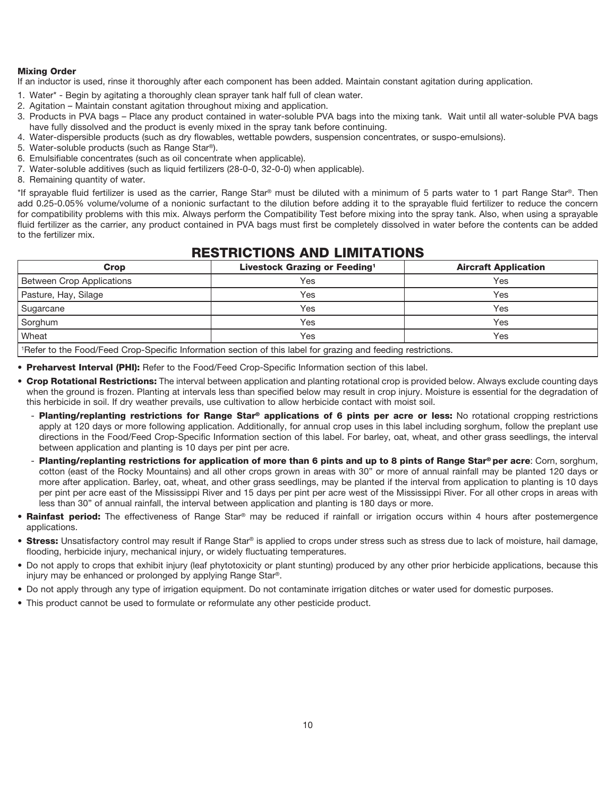#### Mixing Order

If an inductor is used, rinse it thoroughly after each component has been added. Maintain constant agitation during application.

- 1. Water\* Begin by agitating a thoroughly clean sprayer tank half full of clean water.
- 2. Agitation Maintain constant agitation throughout mixing and application.
- 3. Products in PVA bags Place any product contained in water-soluble PVA bags into the mixing tank. Wait until all water-soluble PVA bags have fully dissolved and the product is evenly mixed in the spray tank before continuing.
- 4. Water-dispersible products (such as dry flowables, wettable powders, suspension concentrates, or suspo-emulsions).
- 5. Water-soluble products (such as Range Star®).
- 6. Emulsifiable concentrates (such as oil concentrate when applicable).
- 7. Water-soluble additives (such as liquid fertilizers (28-0-0, 32-0-0) when applicable).
- 8. Remaining quantity of water.

\*If sprayable fluid fertilizer is used as the carrier, Range Star® must be diluted with a minimum of 5 parts water to 1 part Range Star®. Then add 0.25-0.05% volume/volume of a nonionic surfactant to the dilution before adding it to the sprayable fluid fertilizer to reduce the concern for compatibility problems with this mix. Always perform the Compatibility Test before mixing into the spray tank. Also, when using a sprayable fluid fertilizer as the carrier, any product contained in PVA bags must first be completely dissolved in water before the contents can be added to the fertilizer mix.

## RESTRICTIONS AND LIMITATIONS

| Crop                                                                                                                                                                     | Livestock Grazing or Feeding <sup>1</sup> | <b>Aircraft Application</b> |  |  |
|--------------------------------------------------------------------------------------------------------------------------------------------------------------------------|-------------------------------------------|-----------------------------|--|--|
| <b>Between Crop Applications</b>                                                                                                                                         | Yes                                       | Yes                         |  |  |
| Pasture, Hay, Silage                                                                                                                                                     | Yes                                       | Yes                         |  |  |
| Sugarcane                                                                                                                                                                | Yes                                       | Yes                         |  |  |
| Sorghum                                                                                                                                                                  | Yes                                       | Yes                         |  |  |
| Wheat                                                                                                                                                                    | Yes                                       | Yes                         |  |  |
| $\mathbf{A} \in \mathcal{A}$ , and $\mathcal{A}$ , and $\mathcal{A}$ , and $\mathcal{A}$ , and $\mathcal{A}$ , and $\mathcal{A}$ , and $\mathcal{A}$ , and $\mathcal{A}$ |                                           |                             |  |  |

1 Refer to the Food/Feed Crop-Specific Information section of this label for grazing and feeding restrictions.

• Preharvest Interval (PHI): Refer to the Food/Feed Crop-Specific Information section of this label.

- Crop Rotational Restrictions: The interval between application and planting rotational crop is provided below. Always exclude counting days when the ground is frozen. Planting at intervals less than specified below may result in crop injury. Moisture is essential for the degradation of this herbicide in soil. If dry weather prevails, use cultivation to allow herbicide contact with moist soil.
	- Planting/replanting restrictions for Range Star® applications of 6 pints per acre or less: No rotational cropping restrictions apply at 120 days or more following application. Additionally, for annual crop uses in this label including sorghum, follow the preplant use directions in the Food/Feed Crop-Specific Information section of this label. For barley, oat, wheat, and other grass seedlings, the interval between application and planting is 10 days per pint per acre.
	- Planting/replanting restrictions for application of more than 6 pints and up to 8 pints of Range Star® per acre: Corn, sorghum, cotton (east of the Rocky Mountains) and all other crops grown in areas with 30" or more of annual rainfall may be planted 120 days or more after application. Barley, oat, wheat, and other grass seedlings, may be planted if the interval from application to planting is 10 days per pint per acre east of the Mississippi River and 15 days per pint per acre west of the Mississippi River. For all other crops in areas with less than 30" of annual rainfall, the interval between application and planting is 180 days or more.
- Rainfast period: The effectiveness of Range Star® may be reduced if rainfall or irrigation occurs within 4 hours after postemergence applications.
- Stress: Unsatisfactory control may result if Range Star® is applied to crops under stress such as stress due to lack of moisture, hail damage, flooding, herbicide injury, mechanical injury, or widely fluctuating temperatures.
- Do not apply to crops that exhibit injury (leaf phytotoxicity or plant stunting) produced by any other prior herbicide applications, because this injury may be enhanced or prolonged by applying Range Star®.
- Do not apply through any type of irrigation equipment. Do not contaminate irrigation ditches or water used for domestic purposes.
- This product cannot be used to formulate or reformulate any other pesticide product.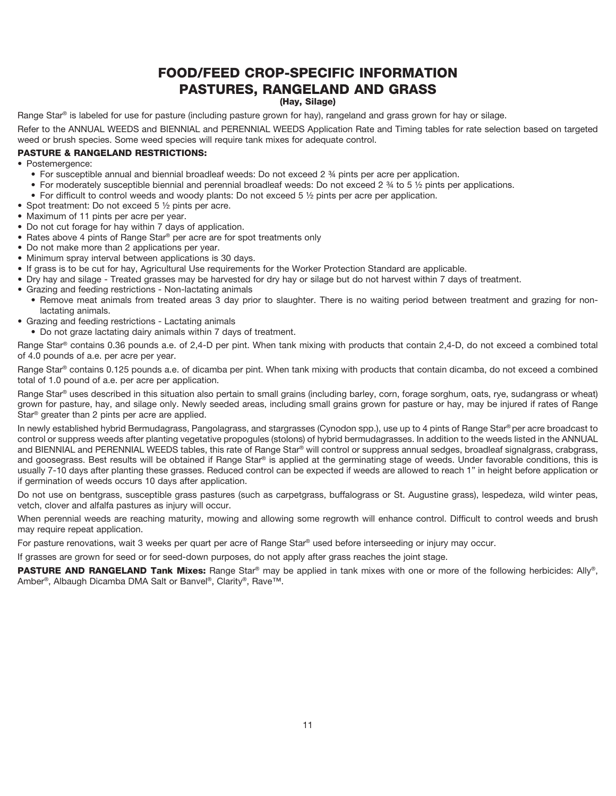# FOOD/FEED CROP-SPECIFIC INFORMATION PASTURES, RANGELAND AND GRASS

#### (Hay, Silage)

Range Star® is labeled for use for pasture (including pasture grown for hay), rangeland and grass grown for hay or silage.

Refer to the ANNUAL WEEDS and BIENNIAL and PERENNIAL WEEDS Application Rate and Timing tables for rate selection based on targeted weed or brush species. Some weed species will require tank mixes for adequate control.

#### PASTURE & RANGELAND RESTRICTIONS:

• Postemergence:

- For susceptible annual and biennial broadleaf weeds: Do not exceed 2 ¾ pints per acre per application.
- For moderately susceptible biennial and perennial broadleaf weeds: Do not exceed 2  $\frac{3}{4}$  to 5  $\frac{1}{2}$  pints per applications.
- For difficult to control weeds and woody plants: Do not exceed 5  $\frac{1}{2}$  pints per acre per application.
- Spot treatment: Do not exceed 5 1/2 pints per acre.
- Maximum of 11 pints per acre per year.
- Do not cut forage for hay within 7 days of application.
- Rates above 4 pints of Range Star® per acre are for spot treatments only
- Do not make more than 2 applications per year.
- Minimum spray interval between applications is 30 days.
- If grass is to be cut for hay, Agricultural Use requirements for the Worker Protection Standard are applicable.
- Dry hay and silage Treated grasses may be harvested for dry hay or silage but do not harvest within 7 days of treatment.
- Grazing and feeding restrictions Non-lactating animals
	- Remove meat animals from treated areas 3 day prior to slaughter. There is no waiting period between treatment and grazing for nonlactating animals.
- Grazing and feeding restrictions Lactating animals
- Do not graze lactating dairy animals within 7 days of treatment.

Range Star® contains 0.36 pounds a.e. of 2,4-D per pint. When tank mixing with products that contain 2,4-D, do not exceed a combined total of 4.0 pounds of a.e. per acre per year.

Range Star® contains 0.125 pounds a.e. of dicamba per pint. When tank mixing with products that contain dicamba, do not exceed a combined total of 1.0 pound of a.e. per acre per application.

Range Star® uses described in this situation also pertain to small grains (including barley, corn, forage sorghum, oats, rye, sudangrass or wheat) grown for pasture, hay, and silage only. Newly seeded areas, including small grains grown for pasture or hay, may be injured if rates of Range Star® greater than 2 pints per acre are applied.

In newly established hybrid Bermudagrass, Pangolagrass, and stargrasses (Cynodon spp.), use up to 4 pints of Range Star® per acre broadcast to control or suppress weeds after planting vegetative propogules (stolons) of hybrid bermudagrasses. In addition to the weeds listed in the ANNUAL and BIENNIAL and PERENNIAL WEEDS tables, this rate of Range Star® will control or suppress annual sedges, broadleaf signalgrass, crabgrass, and goosegrass. Best results will be obtained if Range Star® is applied at the germinating stage of weeds. Under favorable conditions, this is usually 7-10 days after planting these grasses. Reduced control can be expected if weeds are allowed to reach 1" in height before application or if germination of weeds occurs 10 days after application.

Do not use on bentgrass, susceptible grass pastures (such as carpetgrass, buffalograss or St. Augustine grass), lespedeza, wild winter peas, vetch, clover and alfalfa pastures as injury will occur.

When perennial weeds are reaching maturity, mowing and allowing some regrowth will enhance control. Difficult to control weeds and brush may require repeat application.

For pasture renovations, wait 3 weeks per quart per acre of Range Star® used before interseeding or injury may occur.

If grasses are grown for seed or for seed-down purposes, do not apply after grass reaches the joint stage.

PASTURE AND RANGELAND Tank Mixes: Range Star® may be applied in tank mixes with one or more of the following herbicides: Ally®, Amber®, Albaugh Dicamba DMA Salt or Banvel®, Clarity®, Rave™.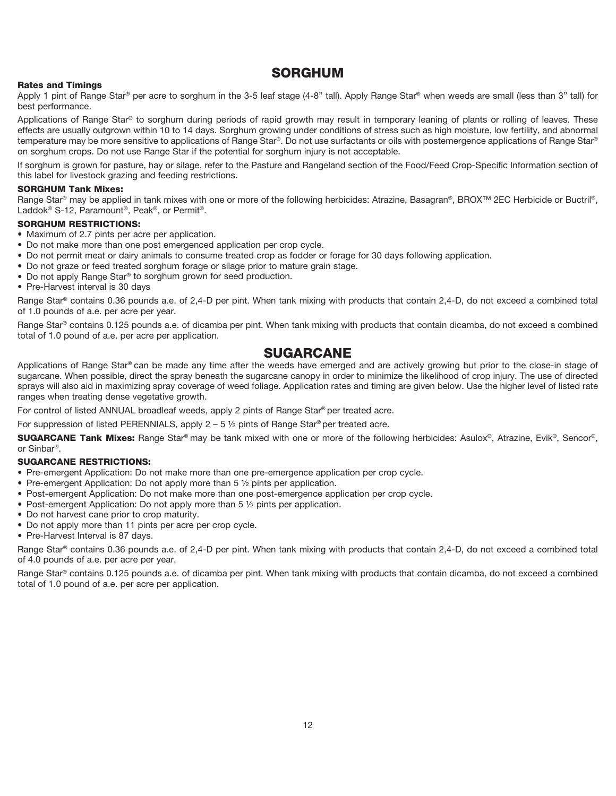### SORGHUM

#### Rates and Timings

Apply 1 pint of Range Star® per acre to sorghum in the 3-5 leaf stage (4-8" tall). Apply Range Star® when weeds are small (less than 3" tall) for best performance.

Applications of Range Star<sup>®</sup> to sorghum during periods of rapid growth may result in temporary leaning of plants or rolling of leaves. These effects are usually outgrown within 10 to 14 days. Sorghum growing under conditions of stress such as high moisture, low fertility, and abnormal temperature may be more sensitive to applications of Range Star®. Do not use surfactants or oils with postemergence applications of Range Star® on sorghum crops. Do not use Range Star if the potential for sorghum injury is not acceptable.

If sorghum is grown for pasture, hay or silage, refer to the Pasture and Rangeland section of the Food/Feed Crop-Specific Information section of this label for livestock grazing and feeding restrictions.

#### SORGHUM Tank Mixes:

Range Star® may be applied in tank mixes with one or more of the following herbicides: Atrazine, Basagran®, BROX™ 2EC Herbicide or Buctril®, Laddok® S-12, Paramount®, Peak®, or Permit®.

#### SORGHUM RESTRICTIONS:

- Maximum of 2.7 pints per acre per application.
- Do not make more than one post emergenced application per crop cycle.
- Do not permit meat or dairy animals to consume treated crop as fodder or forage for 30 days following application.
- Do not graze or feed treated sorghum forage or silage prior to mature grain stage.
- Do not apply Range Star® to sorghum grown for seed production.
- Pre-Harvest interval is 30 days

Range Star® contains 0.36 pounds a.e. of 2,4-D per pint. When tank mixing with products that contain 2,4-D, do not exceed a combined total of 1.0 pounds of a.e. per acre per year.

Range Star<sup>®</sup> contains 0.125 pounds a.e. of dicamba per pint. When tank mixing with products that contain dicamba, do not exceed a combined total of 1.0 pound of a.e. per acre per application.

### SUGARCANE

Applications of Range Star® can be made any time after the weeds have emerged and are actively growing but prior to the close-in stage of sugarcane. When possible, direct the spray beneath the sugarcane canopy in order to minimize the likelihood of crop injury. The use of directed sprays will also aid in maximizing spray coverage of weed foliage. Application rates and timing are given below. Use the higher level of listed rate ranges when treating dense vegetative growth.

For control of listed ANNUAL broadleaf weeds, apply 2 pints of Range Star® per treated acre.

For suppression of listed PERENNIALS, apply  $2 - 5$  % pints of Range Star® per treated acre.

SUGARCANE Tank Mixes: Range Star® may be tank mixed with one or more of the following herbicides: Asulox®, Atrazine, Evik®, Sencor®, or Sinbar®.

#### SUGARCANE RESTRICTIONS:

- Pre-emergent Application: Do not make more than one pre-emergence application per crop cycle.
- Pre-emergent Application: Do not apply more than 5  $\frac{1}{2}$  pints per application.
- Post-emergent Application: Do not make more than one post-emergence application per crop cycle.
- Post-emergent Application: Do not apply more than 5  $\frac{1}{2}$  pints per application.
- Do not harvest cane prior to crop maturity.
- Do not apply more than 11 pints per acre per crop cycle.
- Pre-Harvest Interval is 87 days.

Range Star® contains 0.36 pounds a.e. of 2,4-D per pint. When tank mixing with products that contain 2,4-D, do not exceed a combined total of 4.0 pounds of a.e. per acre per year.

Range Star® contains 0.125 pounds a.e. of dicamba per pint. When tank mixing with products that contain dicamba, do not exceed a combined total of 1.0 pound of a.e. per acre per application.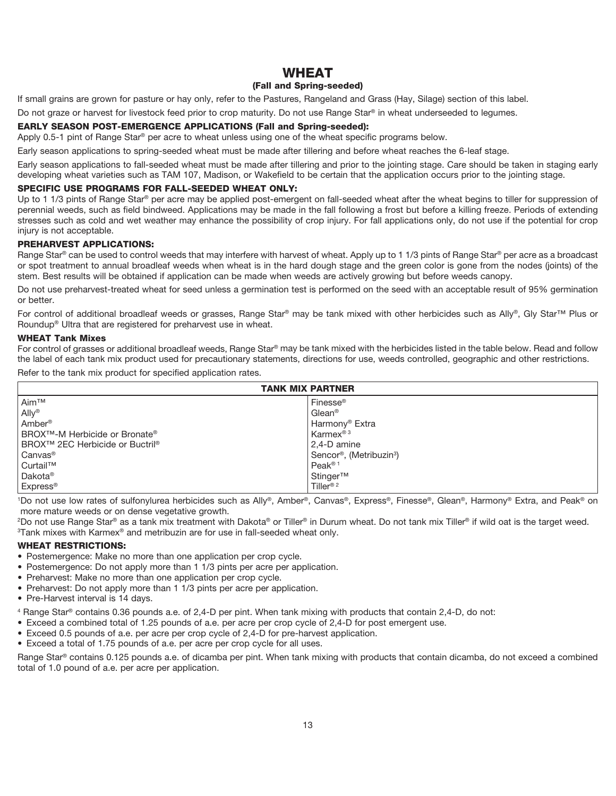### **WHEAT**

#### (Fall and Spring-seeded)

If small grains are grown for pasture or hay only, refer to the Pastures, Rangeland and Grass (Hay, Silage) section of this label.

Do not graze or harvest for livestock feed prior to crop maturity. Do not use Range Star® in wheat underseeded to legumes.

#### EARLY SEASON POST-EMERGENCE APPLICATIONS (Fall and Spring-seeded):

Apply 0.5-1 pint of Range Star® per acre to wheat unless using one of the wheat specific programs below.

Early season applications to spring-seeded wheat must be made after tillering and before wheat reaches the 6-leaf stage.

Early season applications to fall-seeded wheat must be made after tillering and prior to the jointing stage. Care should be taken in staging early developing wheat varieties such as TAM 107, Madison, or Wakefield to be certain that the application occurs prior to the jointing stage.

#### SPECIFIC USE PROGRAMS FOR FALL-SEEDED WHEAT ONLY:

Up to 1 1/3 pints of Range Star® per acre may be applied post-emergent on fall-seeded wheat after the wheat begins to tiller for suppression of perennial weeds, such as field bindweed. Applications may be made in the fall following a frost but before a killing freeze. Periods of extending stresses such as cold and wet weather may enhance the possibility of crop injury. For fall applications only, do not use if the potential for crop injury is not acceptable.

#### PREHARVEST APPLICATIONS:

Range Star® can be used to control weeds that may interfere with harvest of wheat. Apply up to 1 1/3 pints of Range Star® per acre as a broadcast or spot treatment to annual broadleaf weeds when wheat is in the hard dough stage and the green color is gone from the nodes (joints) of the stem. Best results will be obtained if application can be made when weeds are actively growing but before weeds canopy.

Do not use preharvest-treated wheat for seed unless a germination test is performed on the seed with an acceptable result of 95% germination or better.

For control of additional broadleaf weeds or grasses, Range Star® may be tank mixed with other herbicides such as Ally®, Gly Star™ Plus or Roundup® Ultra that are registered for preharvest use in wheat.

#### WHEAT Tank Mixes

For control of grasses or additional broadleaf weeds, Range Star® may be tank mixed with the herbicides listed in the table below. Read and follow the label of each tank mix product used for precautionary statements, directions for use, weeds controlled, geographic and other restrictions.

Refer to the tank mix product for specified application rates.

| <b>TANK MIX PARTNER</b>                                |                                                  |  |  |
|--------------------------------------------------------|--------------------------------------------------|--|--|
| l Aim™                                                 | Finesse <sup>®</sup>                             |  |  |
| Ally <sup>®</sup>                                      | Glean <sup>®</sup>                               |  |  |
| l Amber®                                               | Harmony <sup>®</sup> Extra                       |  |  |
| BROX <sup>™</sup> -M Herbicide or Bronate <sup>®</sup> | Karmex <sup>® 3</sup>                            |  |  |
| BROX™ 2EC Herbicide or Buctril®                        | 2,4-D amine                                      |  |  |
| Canvas <sup>®</sup>                                    | Sencor <sup>®</sup> , (Metribuzin <sup>3</sup> ) |  |  |
| Curtail™                                               | Peak® <sup>1</sup>                               |  |  |
| Dakota <sup>®</sup>                                    | Stinger™                                         |  |  |
| Express <sup>®</sup>                                   | Tiller <sup>® 2</sup>                            |  |  |

1 Do not use low rates of sulfonylurea herbicides such as Ally®, Amber®, Canvas®, Express®, Finesse®, Glean®, Harmony® Extra, and Peak® on more mature weeds or on dense vegetative growth.

2 Do not use Range Star® as a tank mix treatment with Dakota® or Tiller® in Durum wheat. Do not tank mix Tiller® if wild oat is the target weed.  $3$ Tank mixes with Karmex® and metribuzin are for use in fall-seeded wheat only.

#### WHEAT RESTRICTIONS:

- Postemergence: Make no more than one application per crop cycle.
- Postemergence: Do not apply more than 1 1/3 pints per acre per application.
- Preharvest: Make no more than one application per crop cycle.
- Preharvest: Do not apply more than 1 1/3 pints per acre per application.
- Pre-Harvest interval is 14 days.
- 4 Range Star® contains 0.36 pounds a.e. of 2,4-D per pint. When tank mixing with products that contain 2,4-D, do not:
- Exceed a combined total of 1.25 pounds of a.e. per acre per crop cycle of 2,4-D for post emergent use.
- Exceed 0.5 pounds of a.e. per acre per crop cycle of 2,4-D for pre-harvest application.
- Exceed a total of 1.75 pounds of a.e. per acre per crop cycle for all uses.

Range Star® contains 0.125 pounds a.e. of dicamba per pint. When tank mixing with products that contain dicamba, do not exceed a combined total of 1.0 pound of a.e. per acre per application.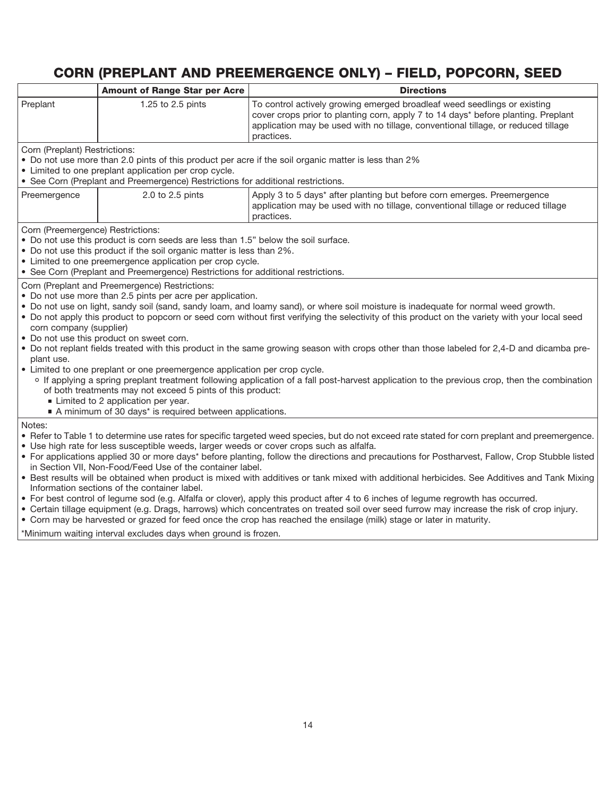# CORN (PREPLANT AND PREEMERGENCE ONLY) – FIELD, POPCORN, SEED

|                                                                                                                                                                                              | <b>Amount of Range Star per Acre</b>                                                                                                          | <b>Directions</b>                                                                                                                                                                                                                                                |  |
|----------------------------------------------------------------------------------------------------------------------------------------------------------------------------------------------|-----------------------------------------------------------------------------------------------------------------------------------------------|------------------------------------------------------------------------------------------------------------------------------------------------------------------------------------------------------------------------------------------------------------------|--|
| Preplant                                                                                                                                                                                     | 1.25 to 2.5 pints                                                                                                                             | To control actively growing emerged broadleaf weed seedlings or existing<br>cover crops prior to planting corn, apply 7 to 14 days* before planting. Preplant<br>application may be used with no tillage, conventional tillage, or reduced tillage<br>practices. |  |
| Corn (Preplant) Restrictions:                                                                                                                                                                |                                                                                                                                               |                                                                                                                                                                                                                                                                  |  |
|                                                                                                                                                                                              |                                                                                                                                               | • Do not use more than 2.0 pints of this product per acre if the soil organic matter is less than 2%                                                                                                                                                             |  |
|                                                                                                                                                                                              | • Limited to one preplant application per crop cycle.<br>• See Corn (Preplant and Preemergence) Restrictions for additional restrictions.     |                                                                                                                                                                                                                                                                  |  |
|                                                                                                                                                                                              |                                                                                                                                               |                                                                                                                                                                                                                                                                  |  |
| Preemergence                                                                                                                                                                                 | 2.0 to 2.5 pints                                                                                                                              | Apply 3 to 5 days* after planting but before corn emerges. Preemergence<br>application may be used with no tillage, conventional tillage or reduced tillage<br>practices.                                                                                        |  |
| Corn (Preemergence) Restrictions:                                                                                                                                                            |                                                                                                                                               |                                                                                                                                                                                                                                                                  |  |
|                                                                                                                                                                                              | • Do not use this product is corn seeds are less than 1.5" below the soil surface.                                                            |                                                                                                                                                                                                                                                                  |  |
|                                                                                                                                                                                              | • Do not use this product if the soil organic matter is less than 2%.                                                                         |                                                                                                                                                                                                                                                                  |  |
|                                                                                                                                                                                              | • Limited to one preemergence application per crop cycle.<br>• See Corn (Preplant and Preemergence) Restrictions for additional restrictions. |                                                                                                                                                                                                                                                                  |  |
|                                                                                                                                                                                              | Corn (Preplant and Preemergence) Restrictions:                                                                                                |                                                                                                                                                                                                                                                                  |  |
|                                                                                                                                                                                              | • Do not use more than 2.5 pints per acre per application.                                                                                    |                                                                                                                                                                                                                                                                  |  |
|                                                                                                                                                                                              |                                                                                                                                               | . Do not use on light, sandy soil (sand, sandy loam, and loamy sand), or where soil moisture is inadequate for normal weed growth.                                                                                                                               |  |
|                                                                                                                                                                                              |                                                                                                                                               | . Do not apply this product to popcorn or seed corn without first verifying the selectivity of this product on the variety with your local seed                                                                                                                  |  |
| corn company (supplier)                                                                                                                                                                      |                                                                                                                                               |                                                                                                                                                                                                                                                                  |  |
|                                                                                                                                                                                              | • Do not use this product on sweet corn.                                                                                                      | . Do not replant fields treated with this product in the same growing season with crops other than those labeled for 2,4-D and dicamba pre-                                                                                                                      |  |
| plant use.                                                                                                                                                                                   |                                                                                                                                               |                                                                                                                                                                                                                                                                  |  |
|                                                                                                                                                                                              | • Limited to one preplant or one preemergence application per crop cycle.                                                                     |                                                                                                                                                                                                                                                                  |  |
| o If applying a spring preplant treatment following application of a fall post-harvest application to the previous crop, then the combination                                                |                                                                                                                                               |                                                                                                                                                                                                                                                                  |  |
|                                                                                                                                                                                              | of both treatments may not exceed 5 pints of this product:                                                                                    |                                                                                                                                                                                                                                                                  |  |
| Limited to 2 application per year.<br>A minimum of 30 days* is required between applications.                                                                                                |                                                                                                                                               |                                                                                                                                                                                                                                                                  |  |
| Notes:                                                                                                                                                                                       |                                                                                                                                               |                                                                                                                                                                                                                                                                  |  |
|                                                                                                                                                                                              |                                                                                                                                               | • Refer to Table 1 to determine use rates for specific targeted weed species, but do not exceed rate stated for corn preplant and preemergence.                                                                                                                  |  |
| • Use high rate for less susceptible weeds, larger weeds or cover crops such as alfalfa.                                                                                                     |                                                                                                                                               |                                                                                                                                                                                                                                                                  |  |
| • For applications applied 30 or more days* before planting, follow the directions and precautions for Postharvest, Fallow, Crop Stubble listed                                              |                                                                                                                                               |                                                                                                                                                                                                                                                                  |  |
| in Section VII, Non-Food/Feed Use of the container label.                                                                                                                                    |                                                                                                                                               |                                                                                                                                                                                                                                                                  |  |
| • Best results will be obtained when product is mixed with additives or tank mixed with additional herbicides. See Additives and Tank Mixing<br>Information sections of the container label. |                                                                                                                                               |                                                                                                                                                                                                                                                                  |  |
| • For best control of legume sod (e.g. Alfalfa or clover), apply this product after 4 to 6 inches of legume regrowth has occurred.                                                           |                                                                                                                                               |                                                                                                                                                                                                                                                                  |  |
| • Certain tillage equipment (e.g. Drags, harrows) which concentrates on treated soil over seed furrow may increase the risk of crop injury.                                                  |                                                                                                                                               |                                                                                                                                                                                                                                                                  |  |
| • Corn may be harvested or grazed for feed once the crop has reached the ensilage (milk) stage or later in maturity.                                                                         |                                                                                                                                               |                                                                                                                                                                                                                                                                  |  |
| *Minimum waiting interval excludes days when ground is frozen.                                                                                                                               |                                                                                                                                               |                                                                                                                                                                                                                                                                  |  |

\*Minimum waiting interval excludes days when ground is frozen.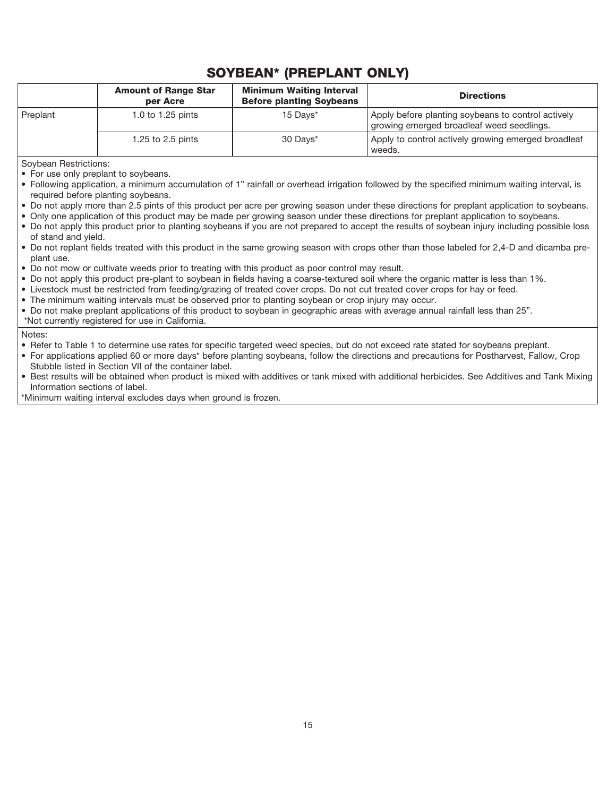# SOYBEAN\* (PREPLANT ONLY)

|            | <b>Amount of Range Star</b><br>per Acre | <b>Minimum Waiting Interval</b><br><b>Before planting Soybeans</b> | <b>Directions</b>                                                                               |
|------------|-----------------------------------------|--------------------------------------------------------------------|-------------------------------------------------------------------------------------------------|
| l Preplant | 1.0 to 1.25 pints                       | 15 Days*                                                           | Apply before planting soybeans to control actively<br>growing emerged broadleaf weed seedlings. |
|            | 1.25 to 2.5 pints                       | 30 Days*                                                           | Apply to control actively growing emerged broadleaf<br>weeds.                                   |

Soybean Restrictions:

- For use only preplant to soybeans.
- Following application, a minimum accumulation of 1" rainfall or overhead irrigation followed by the specified minimum waiting interval, is required before planting soybeans.
- Do not apply more than 2.5 pints of this product per acre per growing season under these directions for preplant application to soybeans.
- Only one application of this product may be made per growing season under these directions for preplant application to soybeans.
- Do not apply this product prior to planting soybeans if you are not prepared to accept the results of soybean injury including possible loss of stand and yield.
- Do not replant fields treated with this product in the same growing season with crops other than those labeled for 2,4-D and dicamba preplant use.
- Do not mow or cultivate weeds prior to treating with this product as poor control may result.
- Do not apply this product pre-plant to soybean in fields having a coarse-textured soil where the organic matter is less than 1%.
- Livestock must be restricted from feeding/grazing of treated cover crops. Do not cut treated cover crops for hay or feed.
- The minimum waiting intervals must be observed prior to planting soybean or crop injury may occur.

• Do not make preplant applications of this product to soybean in geographic areas with average annual rainfall less than 25".

\*Not currently registered for use in California.

Notes:

• Refer to Table 1 to determine use rates for specific targeted weed species, but do not exceed rate stated for soybeans preplant.

- For applications applied 60 or more days\* before planting soybeans, follow the directions and precautions for Postharvest, Fallow, Crop Stubble listed in Section VII of the container label.
- Best results will be obtained when product is mixed with additives or tank mixed with additional herbicides. See Additives and Tank Mixing Information sections of label.

\*Minimum waiting interval excludes days when ground is frozen.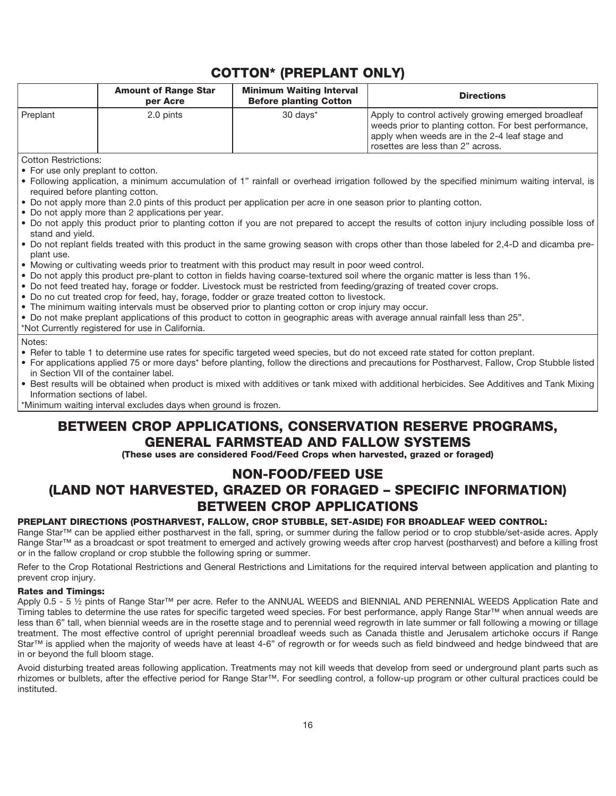# COTTON\* (PREPLANT ONLY)

|                                                                                                                                                                                                                                                                                                                                                                                                                                                                                                                                                                                                                                                                                                                                                                                                                                                                                                                                                                                                                                                                                                                                                                                                                                                                                                                                                                                                                                                                                                                                      | <b>Amount of Range Star</b><br>per Acre                                                                  | <b>Minimum Waiting Interval</b><br><b>Before planting Cotton</b> | <b>Directions</b>                                                                                                                                                                                                                                                                                                                                                                                                                   |
|--------------------------------------------------------------------------------------------------------------------------------------------------------------------------------------------------------------------------------------------------------------------------------------------------------------------------------------------------------------------------------------------------------------------------------------------------------------------------------------------------------------------------------------------------------------------------------------------------------------------------------------------------------------------------------------------------------------------------------------------------------------------------------------------------------------------------------------------------------------------------------------------------------------------------------------------------------------------------------------------------------------------------------------------------------------------------------------------------------------------------------------------------------------------------------------------------------------------------------------------------------------------------------------------------------------------------------------------------------------------------------------------------------------------------------------------------------------------------------------------------------------------------------------|----------------------------------------------------------------------------------------------------------|------------------------------------------------------------------|-------------------------------------------------------------------------------------------------------------------------------------------------------------------------------------------------------------------------------------------------------------------------------------------------------------------------------------------------------------------------------------------------------------------------------------|
| Preplant                                                                                                                                                                                                                                                                                                                                                                                                                                                                                                                                                                                                                                                                                                                                                                                                                                                                                                                                                                                                                                                                                                                                                                                                                                                                                                                                                                                                                                                                                                                             | 2.0 pints                                                                                                | 30 days*                                                         | Apply to control actively growing emerged broadleaf<br>weeds prior to planting cotton. For best performance,<br>apply when weeds are in the 2-4 leaf stage and<br>rosettes are less than 2" across.                                                                                                                                                                                                                                 |
| <b>Cotton Restrictions:</b><br>• For use only preplant to cotton.<br>• Following application, a minimum accumulation of 1" rainfall or overhead irrigation followed by the specified minimum waiting interval, is<br>required before planting cotton.<br>. Do not apply more than 2.0 pints of this product per application per acre in one season prior to planting cotton.<br>• Do not apply more than 2 applications per year.<br>. Do not apply this product prior to planting cotton if you are not prepared to accept the results of cotton injury including possible loss of<br>stand and yield.<br>. Do not replant fields treated with this product in the same growing season with crops other than those labeled for 2,4-D and dicamba pre-<br>plant use.<br>• Mowing or cultivating weeds prior to treatment with this product may result in poor weed control.<br>. Do not apply this product pre-plant to cotton in fields having coarse-textured soil where the organic matter is less than 1%.<br>. Do not feed treated hay, forage or fodder. Livestock must be restricted from feeding/grazing of treated cover crops.<br>• Do no cut treated crop for feed, hay, forage, fodder or graze treated cotton to livestock.<br>. The minimum waiting intervals must be observed prior to planting cotton or crop injury may occur.<br>• Do not make preplant applications of this product to cotton in geographic areas with average annual rainfall less than 25".<br>*Not Currently registered for use in California. |                                                                                                          |                                                                  |                                                                                                                                                                                                                                                                                                                                                                                                                                     |
| Notes:<br>Information sections of label.                                                                                                                                                                                                                                                                                                                                                                                                                                                                                                                                                                                                                                                                                                                                                                                                                                                                                                                                                                                                                                                                                                                                                                                                                                                                                                                                                                                                                                                                                             | in Section VII of the container label.<br>*Minimum waiting interval excludes days when ground is frozen. |                                                                  | • Refer to table 1 to determine use rates for specific targeted weed species, but do not exceed rate stated for cotton preplant.<br>• For applications applied 75 or more days* before planting, follow the directions and precautions for Postharvest, Fallow, Crop Stubble listed<br>• Best results will be obtained when product is mixed with additives or tank mixed with additional herbicides. See Additives and Tank Mixing |

## BETWEEN CROP APPLICATIONS, CONSERVATION RESERVE PROGRAMS, GENERAL FARMSTEAD AND FALLOW SYSTEMS

(These uses are considered Food/Feed Crops when harvested, grazed or foraged)

# NON-FOOD/FEED USE (LAND NOT HARVESTED, GRAZED OR FORAGED – SPECIFIC INFORMATION) BETWEEN CROP APPLICATIONS

#### PREPLANT DIRECTIONS (POSTHARVEST, FALLOW, CROP STUBBLE, SET-ASIDE) FOR BROADLEAF WEED CONTROL:

Range Star™ can be applied either postharvest in the fall, spring, or summer during the fallow period or to crop stubble/set-aside acres. Apply Range Star™ as a broadcast or spot treatment to emerged and actively growing weeds after crop harvest (postharvest) and before a killing frost or in the fallow cropland or crop stubble the following spring or summer.

Refer to the Crop Rotational Restrictions and General Restrictions and Limitations for the required interval between application and planting to prevent crop injury.

#### Rates and Timings:

Apply 0.5 - 5 ½ pints of Range Star™ per acre. Refer to the ANNUAL WEEDS and BIENNIAL AND PERENNIAL WEEDS Application Rate and Timing tables to determine the use rates for specific targeted weed species. For best performance, apply Range Star™ when annual weeds are less than 6" tall, when biennial weeds are in the rosette stage and to perennial weed regrowth in late summer or fall following a mowing or tillage treatment. The most effective control of upright perennial broadleaf weeds such as Canada thistle and Jerusalem artichoke occurs if Range Star™ is applied when the majority of weeds have at least 4-6" of regrowth or for weeds such as field bindweed and hedge bindweed that are in or beyond the full bloom stage.

Avoid disturbing treated areas following application. Treatments may not kill weeds that develop from seed or underground plant parts such as rhizomes or bulblets, after the effective period for Range Star™. For seedling control, a follow-up program or other cultural practices could be instituted.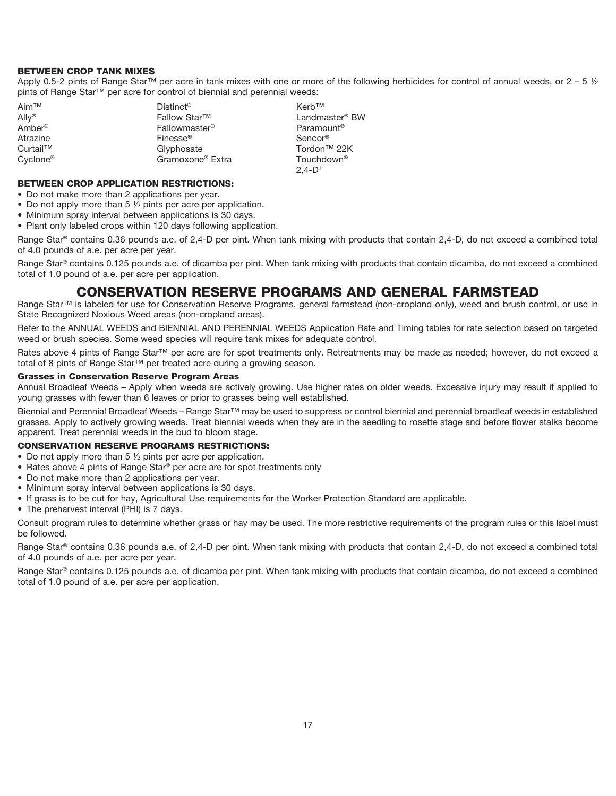#### BETWEEN CROP TANK MIXES

Apply 0.5-2 pints of Range Star<sup>™</sup> per acre in tank mixes with one or more of the following herbicides for control of annual weeds, or 2 – 5 ½ pints of Range Star<sup>™</sup> per acre for control of biennial and perennial weeds:

| Aim™     | $Distinct^{\circledR}$       | Kerb™                      |
|----------|------------------------------|----------------------------|
| Ally®    | Fallow Star™                 | Landmaster <sup>®</sup> BW |
| Amber®   | Fallowmaster <sup>®</sup>    | Paramount <sup>®</sup>     |
| Atrazine | Finesse <sup>®</sup>         | Sencor <sup>®</sup>        |
| Curtail™ | Glyphosate                   | Tordon <sup>™</sup> 22K    |
| C∨clone® | Gramoxone <sup>®</sup> Extra | Touchdown <sup>®</sup>     |
|          |                              | $2.4 - D1$                 |

#### BETWEEN CROP APPLICATION RESTRICTIONS:

- Do not make more than 2 applications per year.
- Do not apply more than 5 1/2 pints per acre per application.
- Minimum spray interval between applications is 30 days.
- Plant only labeled crops within 120 days following application.

Range Star® contains 0.36 pounds a.e. of 2,4-D per pint. When tank mixing with products that contain 2,4-D, do not exceed a combined total of 4.0 pounds of a.e. per acre per year.

Range Star® contains 0.125 pounds a.e. of dicamba per pint. When tank mixing with products that contain dicamba, do not exceed a combined total of 1.0 pound of a.e. per acre per application.

### CONSERVATION RESERVE PROGRAMS AND GENERAL FARMSTEAD

Range Star™ is labeled for use for Conservation Reserve Programs, general farmstead (non-cropland only), weed and brush control, or use in State Recognized Noxious Weed areas (non-cropland areas).

Refer to the ANNUAL WEEDS and BIENNIAL AND PERENNIAL WEEDS Application Rate and Timing tables for rate selection based on targeted weed or brush species. Some weed species will require tank mixes for adequate control.

Rates above 4 pints of Range Star™ per acre are for spot treatments only. Retreatments may be made as needed; however, do not exceed a total of 8 pints of Range Star<sup>™</sup> per treated acre during a growing season.

#### Grasses in Conservation Reserve Program Areas

Annual Broadleaf Weeds – Apply when weeds are actively growing. Use higher rates on older weeds. Excessive injury may result if applied to young grasses with fewer than 6 leaves or prior to grasses being well established.

Biennial and Perennial Broadleaf Weeds – Range Star™ may be used to suppress or control biennial and perennial broadleaf weeds in established grasses. Apply to actively growing weeds. Treat biennial weeds when they are in the seedling to rosette stage and before flower stalks become apparent. Treat perennial weeds in the bud to bloom stage.

#### CONSERVATION RESERVE PROGRAMS RESTRICTIONS:

- Do not apply more than 5  $\frac{1}{2}$  pints per acre per application.
- Rates above 4 pints of Range Star® per acre are for spot treatments only
- Do not make more than 2 applications per year.
- Minimum spray interval between applications is 30 days.
- If grass is to be cut for hay, Agricultural Use requirements for the Worker Protection Standard are applicable.
- The preharvest interval (PHI) is 7 days.

Consult program rules to determine whether grass or hay may be used. The more restrictive requirements of the program rules or this label must be followed.

Range Star® contains 0.36 pounds a.e. of 2,4-D per pint. When tank mixing with products that contain 2,4-D, do not exceed a combined total of 4.0 pounds of a.e. per acre per year.

Range Star® contains 0.125 pounds a.e. of dicamba per pint. When tank mixing with products that contain dicamba, do not exceed a combined total of 1.0 pound of a.e. per acre per application.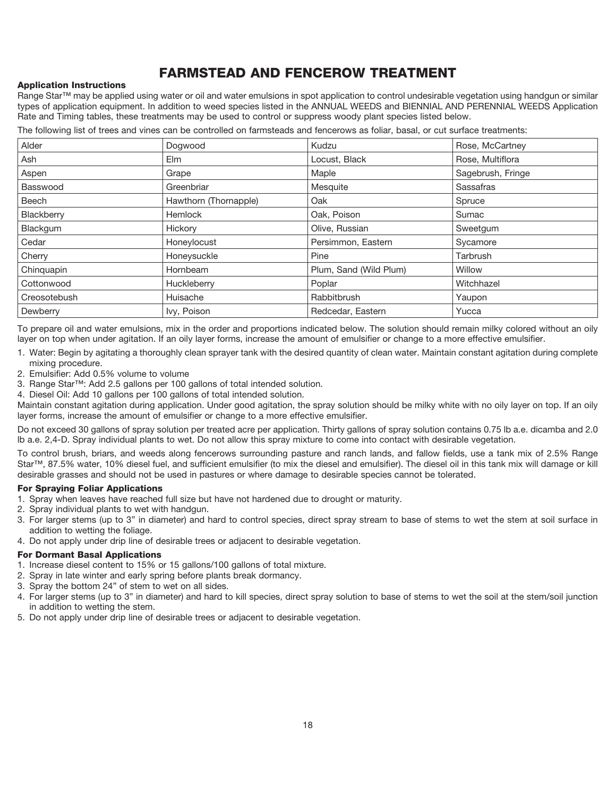# FARMSTEAD AND FENCEROW TREATMENT

#### Application Instructions

Range Star™ may be applied using water or oil and water emulsions in spot application to control undesirable vegetation using handgun or similar types of application equipment. In addition to weed species listed in the ANNUAL WEEDS and BIENNIAL AND PERENNIAL WEEDS Application Rate and Timing tables, these treatments may be used to control or suppress woody plant species listed below.

The following list of trees and vines can be controlled on farmsteads and fencerows as foliar, basal, or cut surface treatments:

| Alder        | Dogwood               | Kudzu                  | Rose, McCartney   |
|--------------|-----------------------|------------------------|-------------------|
| Ash          | Elm                   | Locust, Black          | Rose, Multiflora  |
| Aspen        | Grape                 | Maple                  | Sagebrush, Fringe |
| Basswood     | Greenbriar            | Mesquite               | Sassafras         |
| Beech        | Hawthorn (Thornapple) | Oak                    | Spruce            |
| Blackberry   | <b>Hemlock</b>        | Oak, Poison            | Sumac             |
| Blackgum     | Hickory               | Olive, Russian         | Sweetgum          |
| Cedar        | Honeylocust           | Persimmon, Eastern     | Sycamore          |
| Cherry       | Honeysuckle           | Pine                   | Tarbrush          |
| Chinquapin   | Hornbeam              | Plum, Sand (Wild Plum) | Willow            |
| Cottonwood   | Huckleberry           | Poplar                 | Witchhazel        |
| Creosotebush | Huisache              | Rabbitbrush            | Yaupon            |
| Dewberry     | Ivy, Poison           | Redcedar, Eastern      | Yucca             |

To prepare oil and water emulsions, mix in the order and proportions indicated below. The solution should remain milky colored without an oily layer on top when under agitation. If an oily layer forms, increase the amount of emulsifier or change to a more effective emulsifier.

- 1. Water: Begin by agitating a thoroughly clean sprayer tank with the desired quantity of clean water. Maintain constant agitation during complete mixing procedure.
- 2. Emulsifier: Add 0.5% volume to volume
- 3. Range Star™: Add 2.5 gallons per 100 gallons of total intended solution.
- 4. Diesel Oil: Add 10 gallons per 100 gallons of total intended solution.

Maintain constant agitation during application. Under good agitation, the spray solution should be milky white with no oily layer on top. If an oily layer forms, increase the amount of emulsifier or change to a more effective emulsifier.

Do not exceed 30 gallons of spray solution per treated acre per application. Thirty gallons of spray solution contains 0.75 lb a.e. dicamba and 2.0 lb a.e. 2,4-D. Spray individual plants to wet. Do not allow this spray mixture to come into contact with desirable vegetation.

To control brush, briars, and weeds along fencerows surrounding pasture and ranch lands, and fallow fields, use a tank mix of 2.5% Range Star™, 87.5% water, 10% diesel fuel, and sufficient emulsifier (to mix the diesel and emulsifier). The diesel oil in this tank mix will damage or kill desirable grasses and should not be used in pastures or where damage to desirable species cannot be tolerated.

#### For Spraying Foliar Applications

- 1. Spray when leaves have reached full size but have not hardened due to drought or maturity.
- 2. Spray individual plants to wet with handgun.
- 3. For larger stems (up to 3" in diameter) and hard to control species, direct spray stream to base of stems to wet the stem at soil surface in addition to wetting the foliage.
- 4. Do not apply under drip line of desirable trees or adjacent to desirable vegetation.

#### For Dormant Basal Applications

- 1. Increase diesel content to 15% or 15 gallons/100 gallons of total mixture.
- 2. Spray in late winter and early spring before plants break dormancy.
- 3. Spray the bottom 24" of stem to wet on all sides.
- 4. For larger stems (up to 3" in diameter) and hard to kill species, direct spray solution to base of stems to wet the soil at the stem/soil junction in addition to wetting the stem.
- 5. Do not apply under drip line of desirable trees or adjacent to desirable vegetation.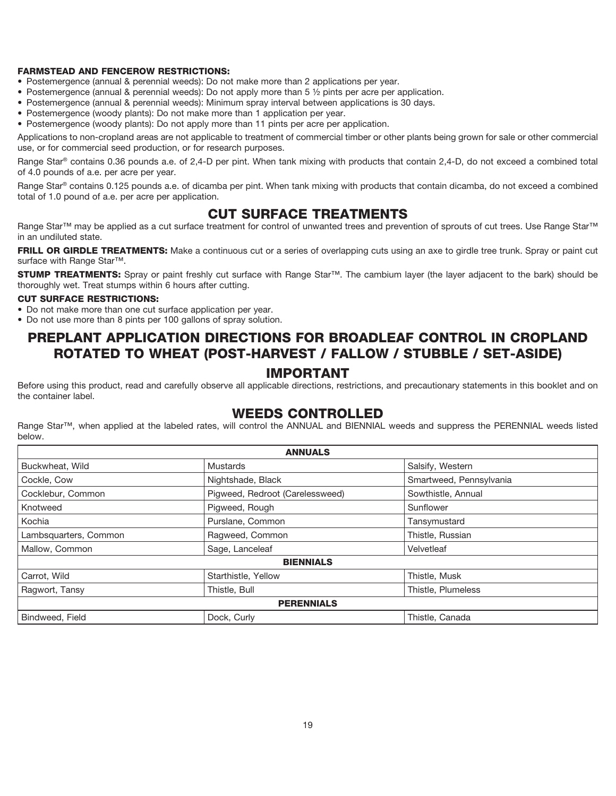#### FARMSTEAD AND FENCEROW RESTRICTIONS:

- Postemergence (annual & perennial weeds): Do not make more than 2 applications per year.
- Postemergence (annual & perennial weeds): Do not apply more than 5 ½ pints per acre per application.
- Postemergence (annual & perennial weeds): Minimum spray interval between applications is 30 days.
- Postemergence (woody plants): Do not make more than 1 application per year.
- Postemergence (woody plants): Do not apply more than 11 pints per acre per application.

Applications to non-cropland areas are not applicable to treatment of commercial timber or other plants being grown for sale or other commercial use, or for commercial seed production, or for research purposes.

Range Star® contains 0.36 pounds a.e. of 2,4-D per pint. When tank mixing with products that contain 2,4-D, do not exceed a combined total of 4.0 pounds of a.e. per acre per year.

Range Star® contains 0.125 pounds a.e. of dicamba per pint. When tank mixing with products that contain dicamba, do not exceed a combined total of 1.0 pound of a.e. per acre per application.

### CUT SURFACE TREATMENTS

Range Star™ may be applied as a cut surface treatment for control of unwanted trees and prevention of sprouts of cut trees. Use Range Star™ in an undiluted state.

FRILL OR GIRDLE TREATMENTS: Make a continuous cut or a series of overlapping cuts using an axe to girdle tree trunk. Spray or paint cut surface with Range Star<sup>™</sup>.

STUMP TREATMENTS: Spray or paint freshly cut surface with Range Star™. The cambium layer (the layer adjacent to the bark) should be thoroughly wet. Treat stumps within 6 hours after cutting.

#### CUT SURFACE RESTRICTIONS:

- Do not make more than one cut surface application per year.
- Do not use more than 8 pints per 100 gallons of spray solution.

### PREPLANT APPLICATION DIRECTIONS FOR BROADLEAF CONTROL IN CROPLAND ROTATED TO WHEAT (POST-HARVEST / FALLOW / STUBBLE / SET-ASIDE)

#### IMPORTANT

Before using this product, read and carefully observe all applicable directions, restrictions, and precautionary statements in this booklet and on the container label.

### WEEDS CONTROLLED

Range Star™, when applied at the labeled rates, will control the ANNUAL and BIENNIAL weeds and suppress the PERENNIAL weeds listed below.

| <b>ANNUALS</b>        |                                 |                         |  |
|-----------------------|---------------------------------|-------------------------|--|
| Buckwheat, Wild       | Mustards                        | Salsify, Western        |  |
| Cockle, Cow           | Nightshade, Black               | Smartweed, Pennsylvania |  |
| Cocklebur, Common     | Pigweed, Redroot (Carelessweed) | Sowthistle, Annual      |  |
| Knotweed              | Pigweed, Rough                  | Sunflower               |  |
| Kochia                | Purslane, Common                | Tansymustard            |  |
| Lambsquarters, Common | Ragweed, Common                 | Thistle, Russian        |  |
| Mallow, Common        | Sage, Lanceleaf                 | Velvetleaf              |  |
| <b>BIENNIALS</b>      |                                 |                         |  |
| Carrot, Wild          | Starthistle, Yellow             | Thistle, Musk           |  |
| Ragwort, Tansy        | Thistle, Bull                   | Thistle, Plumeless      |  |
| <b>PERENNIALS</b>     |                                 |                         |  |
| Bindweed, Field       | Dock, Curly                     | Thistle, Canada         |  |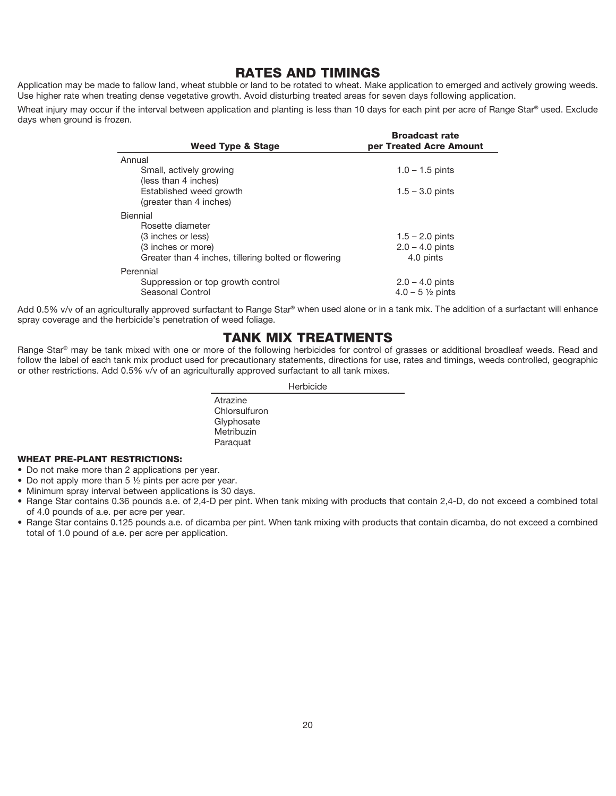### RATES AND TIMINGS

Application may be made to fallow land, wheat stubble or land to be rotated to wheat. Make application to emerged and actively growing weeds. Use higher rate when treating dense vegetative growth. Avoid disturbing treated areas for seven days following application.

Wheat injury may occur if the interval between application and planting is less than 10 days for each pint per acre of Range Star<sup>®</sup> used. Exclude days when ground is frozen.

| <b>Broadcast rate</b>      |
|----------------------------|
| per Treated Acre Amount    |
|                            |
| $1.0 - 1.5$ pints          |
|                            |
| $1.5 - 3.0$ pints          |
|                            |
|                            |
|                            |
| $1.5 - 2.0$ pints          |
| $2.0 - 4.0$ pints          |
| 4.0 pints                  |
|                            |
| $2.0 - 4.0$ pints          |
| $4.0 - 5\frac{1}{2}$ pints |
|                            |

Add 0.5% v/v of an agriculturally approved surfactant to Range Star® when used alone or in a tank mix. The addition of a surfactant will enhance spray coverage and the herbicide's penetration of weed foliage.

### TANK MIX TREATMENTS

Range Star® may be tank mixed with one or more of the following herbicides for control of grasses or additional broadleaf weeds. Read and follow the label of each tank mix product used for precautionary statements, directions for use, rates and timings, weeds controlled, geographic or other restrictions. Add 0.5% v/v of an agriculturally approved surfactant to all tank mixes.

Herbicide

Atrazine **Chlorsulfuron** Glyphosate Metribuzin Paraquat

#### WHEAT PRE-PLANT RESTRICTIONS:

- Do not make more than 2 applications per year.
- Do not apply more than 5 1/2 pints per acre per year.
- Minimum spray interval between applications is 30 days.
- Range Star contains 0.36 pounds a.e. of 2,4-D per pint. When tank mixing with products that contain 2,4-D, do not exceed a combined total of 4.0 pounds of a.e. per acre per year.
- Range Star contains 0.125 pounds a.e. of dicamba per pint. When tank mixing with products that contain dicamba, do not exceed a combined total of 1.0 pound of a.e. per acre per application.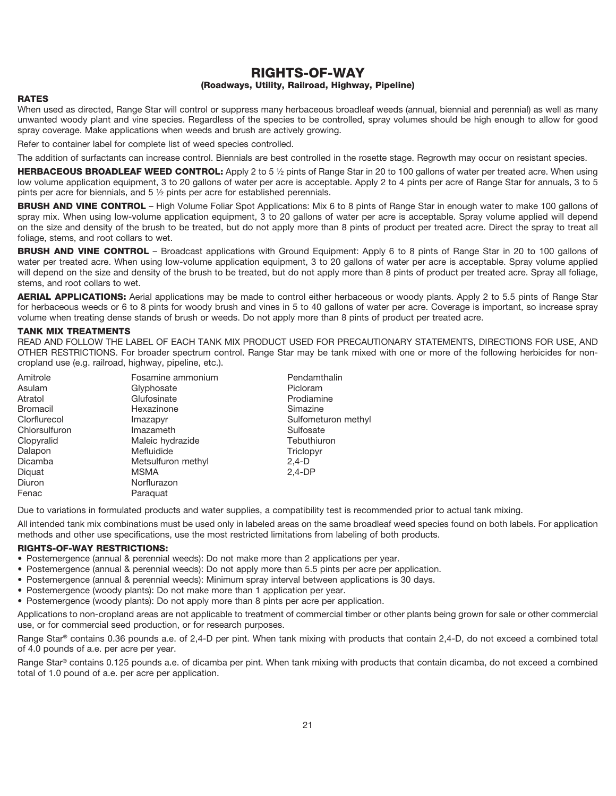#### RIGHTS-OF-WAY (Roadways, Utility, Railroad, Highway, Pipeline)

#### RATES

When used as directed, Range Star will control or suppress many herbaceous broadleaf weeds (annual, biennial and perennial) as well as many unwanted woody plant and vine species. Regardless of the species to be controlled, spray volumes should be high enough to allow for good spray coverage. Make applications when weeds and brush are actively growing.

Refer to container label for complete list of weed species controlled.

The addition of surfactants can increase control. Biennials are best controlled in the rosette stage. Regrowth may occur on resistant species.

HERBACEOUS BROADLEAF WEED CONTROL: Apply 2 to 5 1/2 pints of Range Star in 20 to 100 gallons of water per treated acre. When using low volume application equipment, 3 to 20 gallons of water per acre is acceptable. Apply 2 to 4 pints per acre of Range Star for annuals, 3 to 5 pints per acre for biennials, and 5 ½ pints per acre for established perennials.

BRUSH AND VINE CONTROL – High Volume Foliar Spot Applications: Mix 6 to 8 pints of Range Star in enough water to make 100 gallons of spray mix. When using low-volume application equipment, 3 to 20 gallons of water per acre is acceptable. Spray volume applied will depend on the size and density of the brush to be treated, but do not apply more than 8 pints of product per treated acre. Direct the spray to treat all foliage, stems, and root collars to wet.

BRUSH AND VINE CONTROL – Broadcast applications with Ground Equipment: Apply 6 to 8 pints of Range Star in 20 to 100 gallons of water per treated acre. When using low-volume application equipment, 3 to 20 gallons of water per acre is acceptable. Spray volume applied will depend on the size and density of the brush to be treated, but do not apply more than 8 pints of product per treated acre. Spray all foliage, stems, and root collars to wet.

AERIAL APPLICATIONS: Aerial applications may be made to control either herbaceous or woody plants. Apply 2 to 5.5 pints of Range Star for herbaceous weeds or 6 to 8 pints for woody brush and vines in 5 to 40 gallons of water per acre. Coverage is important, so increase spray volume when treating dense stands of brush or weeds. Do not apply more than 8 pints of product per treated acre.

#### TANK MIX TREATMENTS

READ AND FOLLOW THE LABEL OF EACH TANK MIX PRODUCT USED FOR PRECAUTIONARY STATEMENTS, DIRECTIONS FOR USE, AND OTHER RESTRICTIONS. For broader spectrum control. Range Star may be tank mixed with one or more of the following herbicides for noncropland use (e.g. railroad, highway, pipeline, etc.).

| Amitrole      | Fosamine ammonium  | Pendamthalin        |
|---------------|--------------------|---------------------|
| Asulam        | Glyphosate         | Picloram            |
| Atratol       | Glufosinate        | Prodiamine          |
| Bromacil      | Hexazinone         | Simazine            |
| Clorflurecol  | Imazapyr           | Sulfometuron methyl |
| Chlorsulfuron | Imazameth          | Sulfosate           |
| Clopyralid    | Maleic hydrazide   | Tebuthiuron         |
| Dalapon       | Mefluidide         | Triclopyr           |
| Dicamba       | Metsulfuron methyl | $2,4-D$             |
| Diquat        | <b>MSMA</b>        | $2.4-DP$            |
| Diuron        | Norflurazon        |                     |
| Fenac         | Paraquat           |                     |

Due to variations in formulated products and water supplies, a compatibility test is recommended prior to actual tank mixing.

All intended tank mix combinations must be used only in labeled areas on the same broadleaf weed species found on both labels. For application methods and other use specifications, use the most restricted limitations from labeling of both products.

#### RIGHTS-OF-WAY RESTRICTIONS:

- Postemergence (annual & perennial weeds): Do not make more than 2 applications per year.
- Postemergence (annual & perennial weeds): Do not apply more than 5.5 pints per acre per application.
- Postemergence (annual & perennial weeds): Minimum spray interval between applications is 30 days.
- Postemergence (woody plants): Do not make more than 1 application per year.
- Postemergence (woody plants): Do not apply more than 8 pints per acre per application.

Applications to non-cropland areas are not applicable to treatment of commercial timber or other plants being grown for sale or other commercial use, or for commercial seed production, or for research purposes.

Range Star® contains 0.36 pounds a.e. of 2,4-D per pint. When tank mixing with products that contain 2,4-D, do not exceed a combined total of 4.0 pounds of a.e. per acre per year.

Range Star® contains 0.125 pounds a.e. of dicamba per pint. When tank mixing with products that contain dicamba, do not exceed a combined total of 1.0 pound of a.e. per acre per application.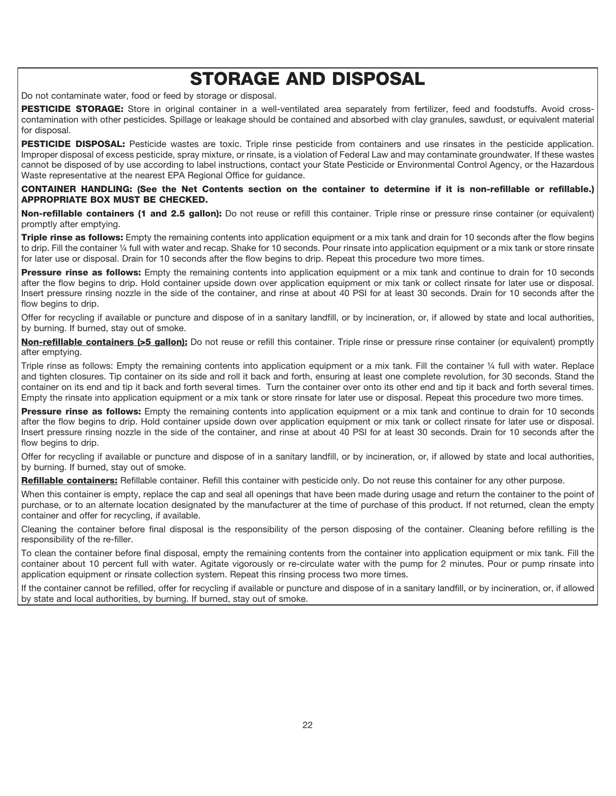# STORAGE AND DISPOSAL

Do not contaminate water, food or feed by storage or disposal.

PESTICIDE STORAGE: Store in original container in a well-ventilated area separately from fertilizer, feed and foodstuffs. Avoid crosscontamination with other pesticides. Spillage or leakage should be contained and absorbed with clay granules, sawdust, or equivalent material for disposal.

PESTICIDE DISPOSAL: Pesticide wastes are toxic. Triple rinse pesticide from containers and use rinsates in the pesticide application. Improper disposal of excess pesticide, spray mixture, or rinsate, is a violation of Federal Law and may contaminate groundwater. If these wastes cannot be disposed of by use according to label instructions, contact your State Pesticide or Environmental Control Agency, or the Hazardous Waste representative at the nearest EPA Regional Office for guidance.

#### CONTAINER HANDLING: (See the Net Contents section on the container to determine if it is non-refillable or refillable.) APPROPRIATE BOX MUST BE CHECKED.

Non-refillable containers (1 and 2.5 gallon): Do not reuse or refill this container. Triple rinse or pressure rinse container (or equivalent) promptly after emptying.

Triple rinse as follows: Empty the remaining contents into application equipment or a mix tank and drain for 10 seconds after the flow begins to drip. Fill the container ¼ full with water and recap. Shake for 10 seconds. Pour rinsate into application equipment or a mix tank or store rinsate for later use or disposal. Drain for 10 seconds after the flow begins to drip. Repeat this procedure two more times.

Pressure rinse as follows: Empty the remaining contents into application equipment or a mix tank and continue to drain for 10 seconds after the flow begins to drip. Hold container upside down over application equipment or mix tank or collect rinsate for later use or disposal. Insert pressure rinsing nozzle in the side of the container, and rinse at about 40 PSI for at least 30 seconds. Drain for 10 seconds after the flow begins to drip.

Offer for recycling if available or puncture and dispose of in a sanitary landfill, or by incineration, or, if allowed by state and local authorities, by burning. If burned, stay out of smoke.

Non-refillable containers (>5 gallon): Do not reuse or refill this container. Triple rinse or pressure rinse container (or equivalent) promptly after emptying.

Triple rinse as follows: Empty the remaining contents into application equipment or a mix tank. Fill the container ¼ full with water. Replace and tighten closures. Tip container on its side and roll it back and forth, ensuring at least one complete revolution, for 30 seconds. Stand the container on its end and tip it back and forth several times. Turn the container over onto its other end and tip it back and forth several times. Empty the rinsate into application equipment or a mix tank or store rinsate for later use or disposal. Repeat this procedure two more times.

**Pressure rinse as follows:** Empty the remaining contents into application equipment or a mix tank and continue to drain for 10 seconds after the flow begins to drip. Hold container upside down over application equipment or mix tank or collect rinsate for later use or disposal. Insert pressure rinsing nozzle in the side of the container, and rinse at about 40 PSI for at least 30 seconds. Drain for 10 seconds after the flow begins to drip.

Offer for recycling if available or puncture and dispose of in a sanitary landfill, or by incineration, or, if allowed by state and local authorities, by burning. If burned, stay out of smoke.

Refillable containers: Refillable container. Refill this container with pesticide only. Do not reuse this container for any other purpose.

When this container is empty, replace the cap and seal all openings that have been made during usage and return the container to the point of purchase, or to an alternate location designated by the manufacturer at the time of purchase of this product. If not returned, clean the empty container and offer for recycling, if available.

Cleaning the container before final disposal is the responsibility of the person disposing of the container. Cleaning before refilling is the responsibility of the re-filler.

To clean the container before final disposal, empty the remaining contents from the container into application equipment or mix tank. Fill the container about 10 percent full with water. Agitate vigorously or re-circulate water with the pump for 2 minutes. Pour or pump rinsate into application equipment or rinsate collection system. Repeat this rinsing process two more times.

If the container cannot be refilled, offer for recycling if available or puncture and dispose of in a sanitary landfill, or by incineration, or, if allowed by state and local authorities, by burning. If burned, stay out of smoke.